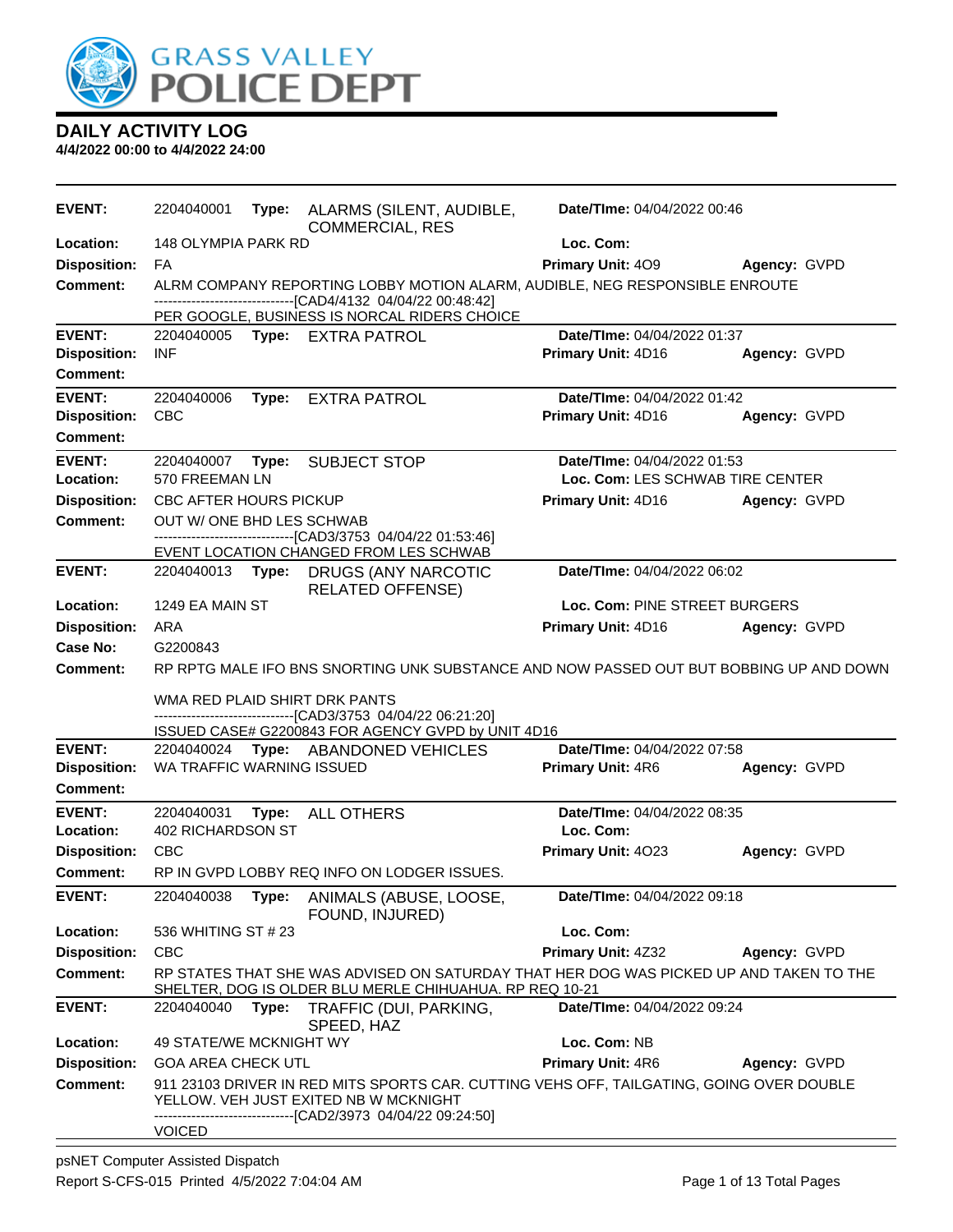

| <b>EVENT:</b>              | 2204040001                            |       | Type: ALARMS (SILENT, AUDIBLE,<br><b>COMMERCIAL, RES</b>                                                                                                                                    | Date/TIme: 04/04/2022 00:46              |              |
|----------------------------|---------------------------------------|-------|---------------------------------------------------------------------------------------------------------------------------------------------------------------------------------------------|------------------------------------------|--------------|
| Location:                  | 148 OLYMPIA PARK RD                   |       |                                                                                                                                                                                             | Loc. Com:                                |              |
| <b>Disposition:</b>        | FA                                    |       |                                                                                                                                                                                             | Primary Unit: 409                        | Agency: GVPD |
| <b>Comment:</b>            |                                       |       | ALRM COMPANY REPORTING LOBBY MOTION ALARM, AUDIBLE, NEG RESPONSIBLE ENROUTE<br>-------------------------------[CAD4/4132 04/04/22 00:48:42]<br>PER GOOGLE, BUSINESS IS NORCAL RIDERS CHOICE |                                          |              |
| <b>EVENT:</b>              |                                       |       | 2204040005 Type: EXTRA PATROL                                                                                                                                                               | Date/TIme: 04/04/2022 01:37              |              |
| <b>Disposition:</b>        | <b>INF</b>                            |       |                                                                                                                                                                                             | Primary Unit: 4D16                       | Agency: GVPD |
| <b>Comment:</b>            |                                       |       |                                                                                                                                                                                             |                                          |              |
| <b>EVENT:</b>              | 2204040006                            | Type: | <b>EXTRA PATROL</b>                                                                                                                                                                         | Date/TIme: 04/04/2022 01:42              |              |
| <b>Disposition:</b>        | <b>CBC</b>                            |       |                                                                                                                                                                                             | Primary Unit: 4D16                       | Agency: GVPD |
| Comment:                   |                                       |       |                                                                                                                                                                                             |                                          |              |
| <b>EVENT:</b>              | 2204040007                            | Type: | <b>SUBJECT STOP</b>                                                                                                                                                                         | Date/TIme: 04/04/2022 01:53              |              |
| Location:                  | 570 FREEMAN LN                        |       |                                                                                                                                                                                             | Loc. Com: LES SCHWAB TIRE CENTER         |              |
| <b>Disposition:</b>        | CBC AFTER HOURS PICKUP                |       |                                                                                                                                                                                             | Primary Unit: 4D16                       | Agency: GVPD |
| <b>Comment:</b>            | OUT W/ ONE BHD LES SCHWAB             |       |                                                                                                                                                                                             |                                          |              |
|                            |                                       |       | --------------------------------[CAD3/3753_04/04/22_01:53:46]<br>EVENT LOCATION CHANGED FROM LES SCHWAB                                                                                     |                                          |              |
| <b>EVENT:</b>              | 2204040013 <b>Type:</b>               |       | DRUGS (ANY NARCOTIC                                                                                                                                                                         | Date/TIme: 04/04/2022 06:02              |              |
|                            |                                       |       | <b>RELATED OFFENSE)</b>                                                                                                                                                                     |                                          |              |
| Location:                  | 1249 EA MAIN ST                       |       |                                                                                                                                                                                             | Loc. Com: PINE STREET BURGERS            |              |
| <b>Disposition:</b>        | ARA                                   |       |                                                                                                                                                                                             | Primary Unit: 4D16                       | Agency: GVPD |
| Case No:                   | G2200843                              |       |                                                                                                                                                                                             |                                          |              |
| <b>Comment:</b>            |                                       |       | RP RPTG MALE IFO BNS SNORTING UNK SUBSTANCE AND NOW PASSED OUT BUT BOBBING UP AND DOWN                                                                                                      |                                          |              |
|                            |                                       |       | WMA RED PLAID SHIRT DRK PANTS<br>-------------------------------[CAD3/3753_04/04/22_06:21:20]                                                                                               |                                          |              |
|                            |                                       |       | ISSUED CASE# G2200843 FOR AGENCY GVPD by UNIT 4D16                                                                                                                                          |                                          |              |
| <b>EVENT:</b>              |                                       |       | 2204040024 Type: ABANDONED VEHICLES                                                                                                                                                         | Date/TIme: 04/04/2022 07:58              |              |
| <b>Disposition:</b>        | WA TRAFFIC WARNING ISSUED             |       |                                                                                                                                                                                             | <b>Primary Unit: 4R6</b>                 | Agency: GVPD |
| <b>Comment:</b>            |                                       |       |                                                                                                                                                                                             |                                          |              |
| <b>EVENT:</b><br>Location: | 2204040031 Type:<br>402 RICHARDSON ST |       | <b>ALL OTHERS</b>                                                                                                                                                                           | Date/TIme: 04/04/2022 08:35<br>Loc. Com: |              |
| <b>Disposition:</b>        | <b>CBC</b>                            |       |                                                                                                                                                                                             | Primary Unit: 4023                       | Agency: GVPD |
| <b>Comment:</b>            |                                       |       | RP IN GVPD LOBBY REQ INFO ON LODGER ISSUES.                                                                                                                                                 |                                          |              |
| <b>EVENT:</b>              | 2204040038 Type:                      |       | ANIMALS (ABUSE, LOOSE,                                                                                                                                                                      | Date/TIme: 04/04/2022 09:18              |              |
|                            |                                       |       | FOUND, INJURED)                                                                                                                                                                             |                                          |              |
| Location:                  | 536 WHITING ST # 23                   |       |                                                                                                                                                                                             | Loc. Com:                                |              |
| <b>Disposition:</b>        | <b>CBC</b>                            |       |                                                                                                                                                                                             | Primary Unit: 4Z32                       | Agency: GVPD |
| <b>Comment:</b>            |                                       |       | RP STATES THAT SHE WAS ADVISED ON SATURDAY THAT HER DOG WAS PICKED UP AND TAKEN TO THE<br>SHELTER, DOG IS OLDER BLU MERLE CHIHUAHUA. RP REQ 10-21                                           |                                          |              |
| <b>EVENT:</b>              | 2204040040                            | Type: | TRAFFIC (DUI, PARKING,                                                                                                                                                                      | Date/TIme: 04/04/2022 09:24              |              |
| Location:                  | 49 STATE/WE MCKNIGHT WY               |       | SPEED, HAZ                                                                                                                                                                                  | Loc. Com: NB                             |              |
| <b>Disposition:</b>        | <b>GOA AREA CHECK UTL</b>             |       |                                                                                                                                                                                             | Primary Unit: 4R6                        | Agency: GVPD |
| Comment:                   |                                       |       | 911 23103 DRIVER IN RED MITS SPORTS CAR. CUTTING VEHS OFF, TAILGATING, GOING OVER DOUBLE<br>YELLOW. VEH JUST EXITED NB W MCKNIGHT<br>------------------------[CAD2/3973_04/04/22_09:24:50]  |                                          |              |
|                            | <b>VOICED</b>                         |       |                                                                                                                                                                                             |                                          |              |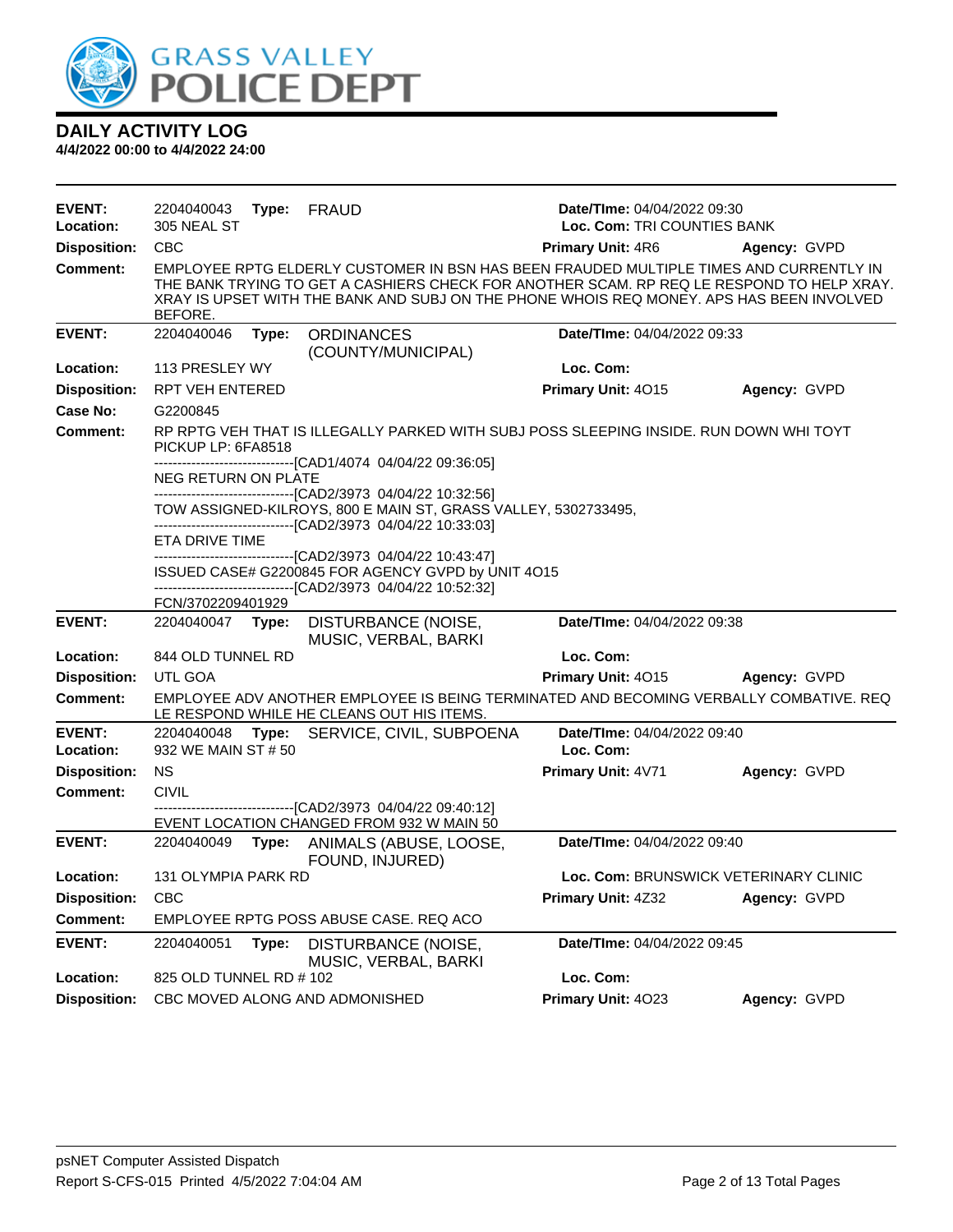

| <b>EVENT:</b><br>Location:       | 2204040043<br>305 NEAL ST | Type: | FRAUD                                                                                                              | Date/TIme: 04/04/2022 09:30<br>Loc. Com: TRI COUNTIES BANK                                                                                                                                                                                                                      |                                       |
|----------------------------------|---------------------------|-------|--------------------------------------------------------------------------------------------------------------------|---------------------------------------------------------------------------------------------------------------------------------------------------------------------------------------------------------------------------------------------------------------------------------|---------------------------------------|
| <b>Disposition:</b>              | <b>CBC</b>                |       |                                                                                                                    | <b>Primary Unit: 4R6</b>                                                                                                                                                                                                                                                        | Agency: GVPD                          |
| <b>Comment:</b>                  | BEFORE.                   |       |                                                                                                                    | EMPLOYEE RPTG ELDERLY CUSTOMER IN BSN HAS BEEN FRAUDED MULTIPLE TIMES AND CURRENTLY IN<br>THE BANK TRYING TO GET A CASHIERS CHECK FOR ANOTHER SCAM. RP REQ LE RESPOND TO HELP XRAY.<br>XRAY IS UPSET WITH THE BANK AND SUBJ ON THE PHONE WHOIS REQ MONEY. APS HAS BEEN INVOLVED |                                       |
| <b>EVENT:</b>                    | 2204040046                | Type: | <b>ORDINANCES</b><br>(COUNTY/MUNICIPAL)                                                                            | Date/TIme: 04/04/2022 09:33                                                                                                                                                                                                                                                     |                                       |
| Location:                        | 113 PRESLEY WY            |       |                                                                                                                    | Loc. Com:                                                                                                                                                                                                                                                                       |                                       |
| <b>Disposition:</b>              | RPT VEH ENTERED           |       |                                                                                                                    | Primary Unit: 4015                                                                                                                                                                                                                                                              | Agency: GVPD                          |
| Case No:                         | G2200845                  |       |                                                                                                                    |                                                                                                                                                                                                                                                                                 |                                       |
| <b>Comment:</b>                  | PICKUP LP: 6FA8518        |       |                                                                                                                    | RP RPTG VEH THAT IS ILLEGALLY PARKED WITH SUBJ POSS SLEEPING INSIDE. RUN DOWN WHI TOYT                                                                                                                                                                                          |                                       |
|                                  | NEG RETURN ON PLATE       |       | -------------------------------[CAD1/4074 04/04/22 09:36:05]                                                       |                                                                                                                                                                                                                                                                                 |                                       |
|                                  |                           |       | -------------------------------[CAD2/3973 04/04/22 10:32:56]                                                       |                                                                                                                                                                                                                                                                                 |                                       |
|                                  |                           |       | TOW ASSIGNED-KILROYS, 800 E MAIN ST, GRASS VALLEY, 5302733495,                                                     |                                                                                                                                                                                                                                                                                 |                                       |
|                                  | ETA DRIVE TIME            |       | ---------------------------------[CAD2/3973 04/04/22 10:33:03]                                                     |                                                                                                                                                                                                                                                                                 |                                       |
|                                  |                           |       | -------------------------------[CAD2/3973 04/04/22 10:43:47]                                                       |                                                                                                                                                                                                                                                                                 |                                       |
|                                  |                           |       | ISSUED CASE# G2200845 FOR AGENCY GVPD by UNIT 4O15<br>-------------------------------[CAD2/3973_04/04/22_10:52:32] |                                                                                                                                                                                                                                                                                 |                                       |
|                                  | FCN/3702209401929         |       |                                                                                                                    |                                                                                                                                                                                                                                                                                 |                                       |
|                                  |                           |       |                                                                                                                    |                                                                                                                                                                                                                                                                                 |                                       |
| <b>EVENT:</b>                    | 2204040047                | Type: | DISTURBANCE (NOISE,                                                                                                | Date/TIme: 04/04/2022 09:38                                                                                                                                                                                                                                                     |                                       |
| Location:                        | 844 OLD TUNNEL RD         |       | MUSIC, VERBAL, BARKI                                                                                               | Loc. Com:                                                                                                                                                                                                                                                                       |                                       |
| <b>Disposition:</b>              | UTL GOA                   |       |                                                                                                                    | Primary Unit: 4015                                                                                                                                                                                                                                                              | Agency: GVPD                          |
| <b>Comment:</b>                  |                           |       | LE RESPOND WHILE HE CLEANS OUT HIS ITEMS.                                                                          | EMPLOYEE ADV ANOTHER EMPLOYEE IS BEING TERMINATED AND BECOMING VERBALLY COMBATIVE. REQ                                                                                                                                                                                          |                                       |
| <b>EVENT:</b>                    | 2204040048                | Type: | SERVICE, CIVIL, SUBPOENA                                                                                           | Date/TIme: 04/04/2022 09:40                                                                                                                                                                                                                                                     |                                       |
| Location:                        | 932 WE MAIN ST # 50       |       |                                                                                                                    | Loc. Com:                                                                                                                                                                                                                                                                       |                                       |
| <b>Disposition:</b>              | <b>NS</b>                 |       |                                                                                                                    | Primary Unit: 4V71                                                                                                                                                                                                                                                              | Agency: GVPD                          |
| <b>Comment:</b>                  | <b>CIVIL</b>              |       |                                                                                                                    |                                                                                                                                                                                                                                                                                 |                                       |
|                                  |                           |       | ------------------------------[CAD2/3973_04/04/22_09:40:12]<br>EVENT LOCATION CHANGED FROM 932 W MAIN 50           |                                                                                                                                                                                                                                                                                 |                                       |
| <b>EVENT:</b>                    |                           |       | 2204040049 Type: ANIMALS (ABUSE, LOOSE,<br>FOUND, INJURED)                                                         | Date/TIme: 04/04/2022 09:40                                                                                                                                                                                                                                                     |                                       |
| Location:                        | 131 OLYMPIA PARK RD       |       |                                                                                                                    |                                                                                                                                                                                                                                                                                 | Loc. Com: BRUNSWICK VETERINARY CLINIC |
| <b>Disposition:</b>              | CBC                       |       |                                                                                                                    | Primary Unit: 4Z32                                                                                                                                                                                                                                                              | Agency: GVPD                          |
| <b>Comment:</b>                  |                           |       | EMPLOYEE RPTG POSS ABUSE CASE. REQ ACO                                                                             |                                                                                                                                                                                                                                                                                 |                                       |
| <b>EVENT:</b>                    | 2204040051                | Type: | DISTURBANCE (NOISE,<br>MUSIC, VERBAL, BARKI                                                                        | Date/TIme: 04/04/2022 09:45                                                                                                                                                                                                                                                     |                                       |
| Location:<br><b>Disposition:</b> | 825 OLD TUNNEL RD # 102   |       |                                                                                                                    | Loc. Com:<br>Primary Unit: 4023                                                                                                                                                                                                                                                 |                                       |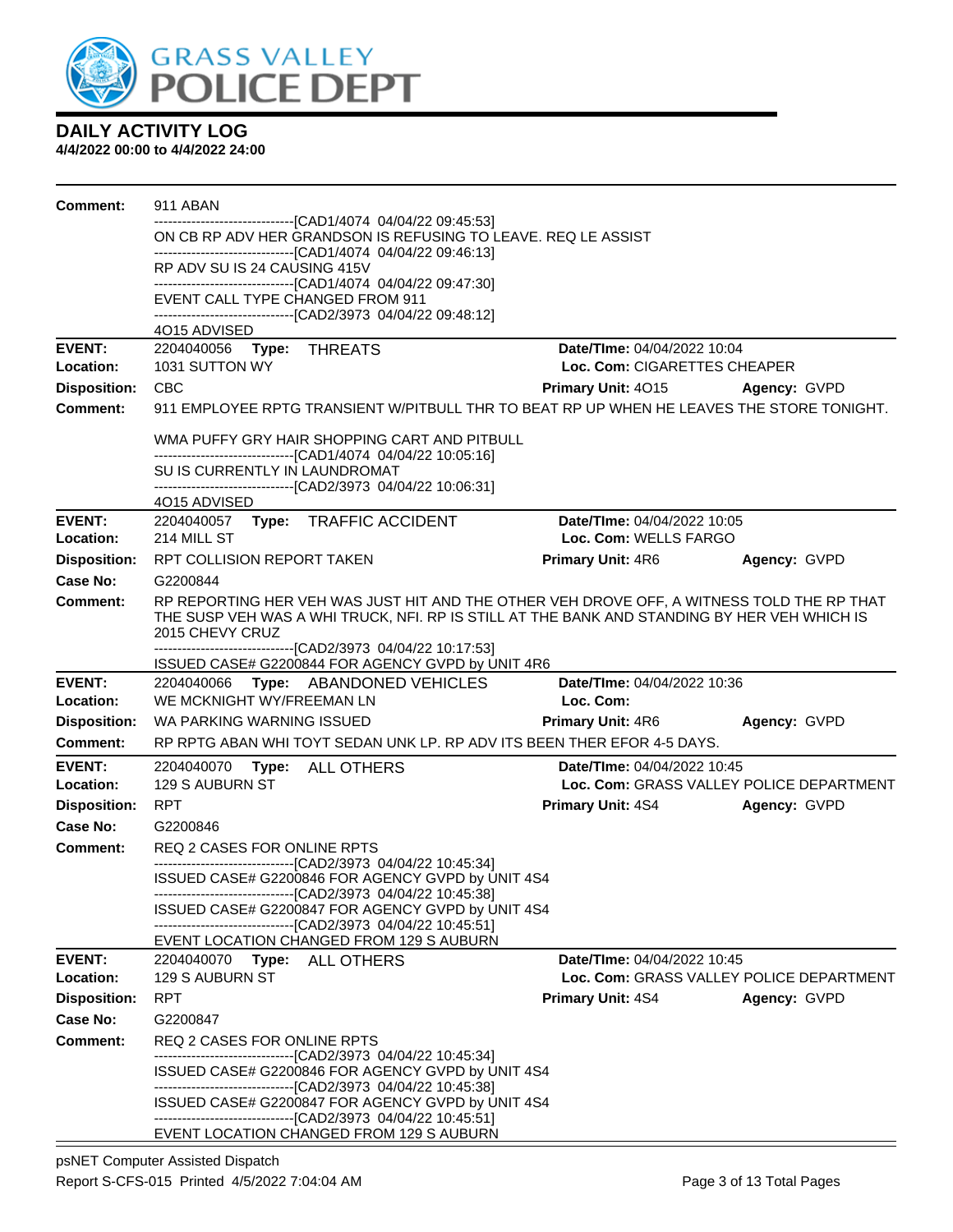

| Comment:                        | 911 ABAN                                                                                                               |                                                                                |              |
|---------------------------------|------------------------------------------------------------------------------------------------------------------------|--------------------------------------------------------------------------------|--------------|
|                                 | ------------------------[CAD1/4074_04/04/22_09:45:53]<br>ON CB RP ADV HER GRANDSON IS REFUSING TO LEAVE. REQ LE ASSIST |                                                                                |              |
|                                 | -------------------------------[CAD1/4074 04/04/22 09:46:13]                                                           |                                                                                |              |
|                                 | RP ADV SU IS 24 CAUSING 415V<br>------------------------------[CAD1/4074_04/04/22_09:47:30]                            |                                                                                |              |
|                                 | EVENT CALL TYPE CHANGED FROM 911                                                                                       |                                                                                |              |
|                                 | ------------------------------[CAD2/3973_04/04/22_09:48:12]<br>4015 ADVISED                                            |                                                                                |              |
| <b>EVENT:</b>                   | 2204040056    Type: THREATS                                                                                            | Date/TIme: 04/04/2022 10:04                                                    |              |
| Location:                       | 1031 SUTTON WY                                                                                                         | Loc. Com: CIGARETTES CHEAPER                                                   |              |
| <b>Disposition:</b>             | <b>CBC</b>                                                                                                             | <b>Primary Unit: 4015 Agency: GVPD</b>                                         |              |
| <b>Comment:</b>                 | 911 EMPLOYEE RPTG TRANSIENT W/PITBULL THR TO BEAT RP UP WHEN HE LEAVES THE STORE TONIGHT.                              |                                                                                |              |
|                                 | WMA PUFFY GRY HAIR SHOPPING CART AND PITBULL                                                                           |                                                                                |              |
|                                 | -------------------------------[CAD1/4074 04/04/22 10:05:16]                                                           |                                                                                |              |
|                                 | SU IS CURRENTLY IN LAUNDROMAT<br>-------------------------------[CAD2/3973_04/04/22_10:06:31]                          |                                                                                |              |
|                                 | 4O15 ADVISED                                                                                                           |                                                                                |              |
| <b>EVENT:</b>                   | 2204040057 Type: TRAFFIC ACCIDENT                                                                                      | <b>Date/Time: 04/04/2022 10:05</b>                                             |              |
| Location:                       | 214 MILL ST                                                                                                            | Loc. Com: WELLS FARGO                                                          |              |
| <b>Disposition:</b><br>Case No: | RPT COLLISION REPORT TAKEN<br>G2200844                                                                                 | <b>Primary Unit: 4R6</b>                                                       | Agency: GVPD |
| <b>Comment:</b>                 | RP REPORTING HER VEH WAS JUST HIT AND THE OTHER VEH DROVE OFF, A WITNESS TOLD THE RP THAT                              |                                                                                |              |
|                                 | THE SUSP VEH WAS A WHI TRUCK, NFI. RP IS STILL AT THE BANK AND STANDING BY HER VEH WHICH IS<br>2015 CHEVY CRUZ         |                                                                                |              |
|                                 | -------------------------------[CAD2/3973_04/04/22_10:17:53]<br>ISSUED CASE# G2200844 FOR AGENCY GVPD by UNIT 4R6      |                                                                                |              |
| <b>EVENT:</b>                   | 2204040066 Type: ABANDONED VEHICLES                                                                                    | Date/TIme: 04/04/2022 10:36                                                    |              |
| Location:                       | WE MCKNIGHT WY/FREEMAN LN                                                                                              | Loc. Com:                                                                      |              |
| <b>Disposition:</b>             | WA PARKING WARNING ISSUED                                                                                              | <b>Primary Unit: 4R6</b>                                                       | Agency: GVPD |
| Comment:                        | RP RPTG ABAN WHI TOYT SEDAN UNK LP. RP ADV ITS BEEN THER EFOR 4-5 DAYS.                                                |                                                                                |              |
| <b>EVENT:</b><br>Location:      | 2204040070 Type: ALL OTHERS<br>129 S AUBURN ST                                                                         | <b>Date/Time: 04/04/2022 10:45</b><br>Loc. Com: GRASS VALLEY POLICE DEPARTMENT |              |
| <b>Disposition:</b>             | RPT                                                                                                                    | <b>Primary Unit: 4S4</b>                                                       | Agency: GVPD |
| Case No:                        | G2200846                                                                                                               |                                                                                |              |
| Comment:                        | REQ 2 CASES FOR ONLINE RPTS                                                                                            |                                                                                |              |
|                                 | ------------------------------[CAD2/3973_04/04/22_10:45:34]<br>ISSUED CASE# G2200846 FOR AGENCY GVPD by UNIT 4S4       |                                                                                |              |
|                                 | -------------------------------[CAD2/3973_04/04/22 10:45:38]                                                           |                                                                                |              |
|                                 | ISSUED CASE# G2200847 FOR AGENCY GVPD by UNIT 4S4                                                                      |                                                                                |              |
|                                 | -------------------------------[CAD2/3973 04/04/22 10:45:51]<br>EVENT LOCATION CHANGED FROM 129 S AUBURN               |                                                                                |              |
| <b>EVENT:</b>                   | 2204040070<br><b>Type: ALL OTHERS</b>                                                                                  | <b>Date/TIme: 04/04/2022 10:45</b>                                             |              |
| Location:                       | 129 S AUBURN ST                                                                                                        | Loc. Com: GRASS VALLEY POLICE DEPARTMENT                                       |              |
| <b>Disposition:</b>             | <b>RPT</b>                                                                                                             | <b>Primary Unit: 4S4</b>                                                       | Agency: GVPD |
| Case No:                        | G2200847                                                                                                               |                                                                                |              |
| Comment:                        | <b>REQ 2 CASES FOR ONLINE RPTS</b><br>-------------------------------[CAD2/3973 04/04/22 10:45:34]                     |                                                                                |              |
|                                 | ISSUED CASE# G2200846 FOR AGENCY GVPD by UNIT 4S4                                                                      |                                                                                |              |
|                                 | -------------------------------[CAD2/3973 04/04/22 10:45:38]                                                           |                                                                                |              |
|                                 | ISSUED CASE# G2200847 FOR AGENCY GVPD by UNIT 4S4<br>-------------------------------[CAD2/3973 04/04/22 10:45:51]      |                                                                                |              |
|                                 | EVENT LOCATION CHANGED FROM 129 S AUBURN                                                                               |                                                                                |              |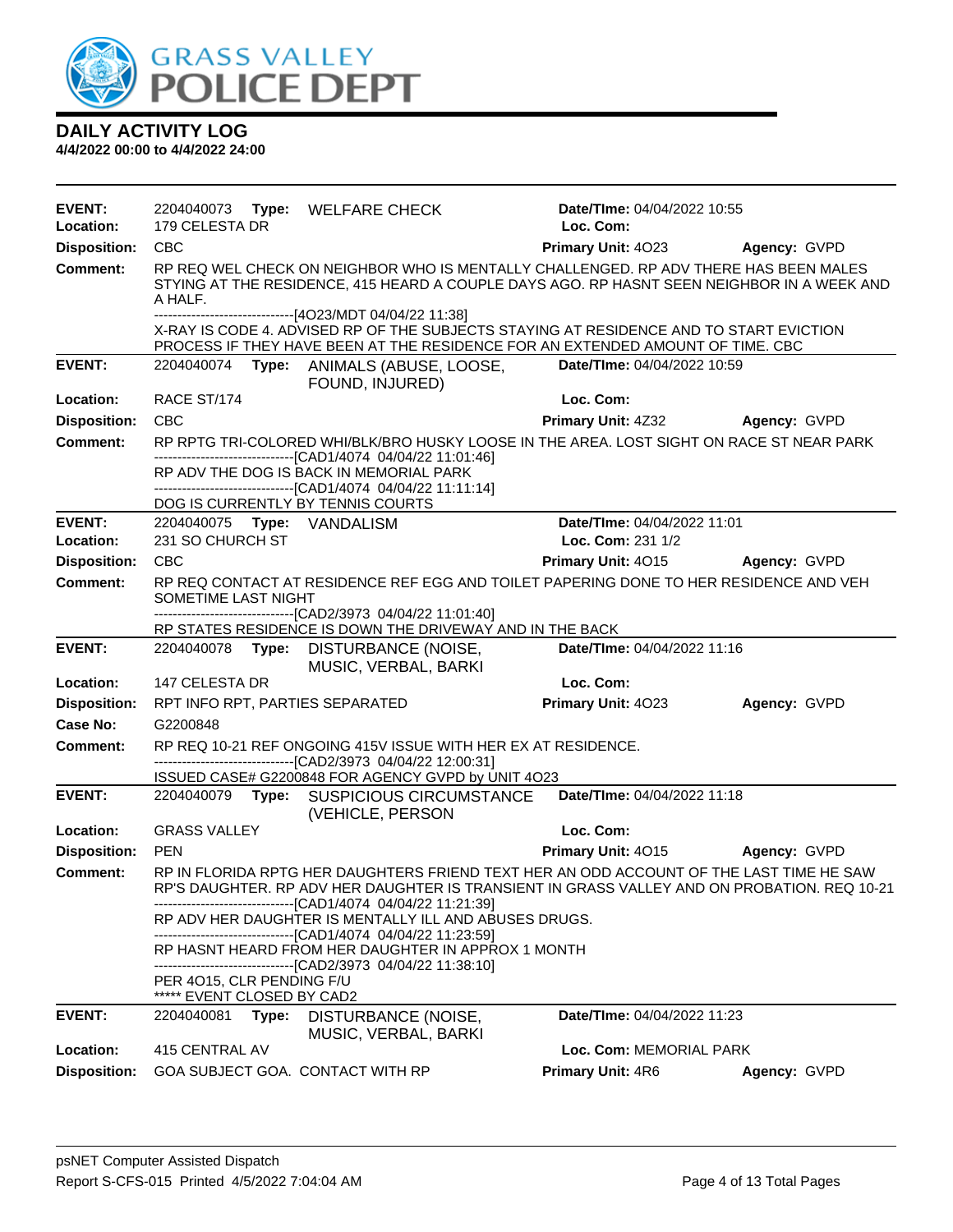

| <b>EVENT:</b><br>Location: | 179 CELESTA DR                                          | 2204040073 Type: WELFARE CHECK                                                                                                                                                                                                       | Date/TIme: 04/04/2022 10:55<br>Loc. Com: |                     |
|----------------------------|---------------------------------------------------------|--------------------------------------------------------------------------------------------------------------------------------------------------------------------------------------------------------------------------------------|------------------------------------------|---------------------|
| <b>Disposition:</b>        | <b>CBC</b>                                              |                                                                                                                                                                                                                                      | Primary Unit: 4023                       | Agency: GVPD        |
| <b>Comment:</b>            | A HALF.                                                 | RP REQ WEL CHECK ON NEIGHBOR WHO IS MENTALLY CHALLENGED. RP ADV THERE HAS BEEN MALES<br>STYING AT THE RESIDENCE, 415 HEARD A COUPLE DAYS AGO. RP HASNT SEEN NEIGHBOR IN A WEEK AND                                                   |                                          |                     |
|                            |                                                         | -------------------------------[4O23/MDT 04/04/22 11:38]<br>X-RAY IS CODE 4. ADVISED RP OF THE SUBJECTS STAYING AT RESIDENCE AND TO START EVICTION<br>PROCESS IF THEY HAVE BEEN AT THE RESIDENCE FOR AN EXTENDED AMOUNT OF TIME. CBC |                                          |                     |
| <b>EVENT:</b>              |                                                         | 2204040074 Type: ANIMALS (ABUSE, LOOSE,<br>FOUND, INJURED)                                                                                                                                                                           | Date/TIme: 04/04/2022 10:59              |                     |
| Location:                  | RACE ST/174                                             |                                                                                                                                                                                                                                      | Loc. Com:                                |                     |
| <b>Disposition:</b>        | <b>CBC</b>                                              |                                                                                                                                                                                                                                      | <b>Primary Unit: 4Z32</b>                | Agency: GVPD        |
| <b>Comment:</b>            |                                                         | RP RPTG TRI-COLORED WHI/BLK/BRO HUSKY LOOSE IN THE AREA. LOST SIGHT ON RACE ST NEAR PARK                                                                                                                                             |                                          |                     |
|                            |                                                         | -------------------------------[CAD1/4074 04/04/22 11:01:46]<br>RP ADV THE DOG IS BACK IN MEMORIAL PARK<br>------------------------------[CAD1/4074 04/04/22 11:11:14]                                                               |                                          |                     |
|                            |                                                         | DOG IS CURRENTLY BY TENNIS COURTS                                                                                                                                                                                                    |                                          |                     |
| <b>EVENT:</b>              | 2204040075 Type: VANDALISM                              |                                                                                                                                                                                                                                      | Date/TIme: 04/04/2022 11:01              |                     |
| Location:                  | 231 SO CHURCH ST                                        |                                                                                                                                                                                                                                      | Loc. Com: 231 1/2                        |                     |
| <b>Disposition:</b>        | <b>CBC</b>                                              |                                                                                                                                                                                                                                      | Primary Unit: 4015                       | <b>Agency: GVPD</b> |
| <b>Comment:</b>            | SOMETIME LAST NIGHT                                     | RP REQ CONTACT AT RESIDENCE REF EGG AND TOILET PAPERING DONE TO HER RESIDENCE AND VEH                                                                                                                                                |                                          |                     |
|                            |                                                         | ------------------------------[CAD2/3973_04/04/22_11:01:40]<br>RP STATES RESIDENCE IS DOWN THE DRIVEWAY AND IN THE BACK                                                                                                              |                                          |                     |
| <b>EVENT:</b>              |                                                         | 2204040078 Type: DISTURBANCE (NOISE,                                                                                                                                                                                                 | Date/TIme: 04/04/2022 11:16              |                     |
|                            |                                                         |                                                                                                                                                                                                                                      |                                          |                     |
| Location:                  | 147 CELESTA DR                                          | MUSIC, VERBAL, BARKI                                                                                                                                                                                                                 | Loc. Com:                                |                     |
| <b>Disposition:</b>        |                                                         | RPT INFO RPT, PARTIES SEPARATED                                                                                                                                                                                                      | Primary Unit: 4023                       | Agency: GVPD        |
| <b>Case No:</b>            | G2200848                                                |                                                                                                                                                                                                                                      |                                          |                     |
| Comment:                   |                                                         | RP REQ 10-21 REF ONGOING 415V ISSUE WITH HER EX AT RESIDENCE.<br>-------------------------------[CAD2/3973_04/04/22_12:00:31]                                                                                                        |                                          |                     |
| <b>EVENT:</b>              |                                                         | ISSUED CASE# G2200848 FOR AGENCY GVPD by UNIT 4O23<br>2204040079 Type: SUSPICIOUS CIRCUMSTANCE                                                                                                                                       | Date/TIme: 04/04/2022 11:18              |                     |
| Location:                  | <b>GRASS VALLEY</b>                                     | (VEHICLE, PERSON                                                                                                                                                                                                                     | Loc. Com:                                |                     |
| <b>Disposition:</b>        | <b>PEN</b>                                              |                                                                                                                                                                                                                                      | Primary Unit: 4015                       | Agency: GVPD        |
| <b>Comment:</b>            |                                                         | RP IN FLORIDA RPTG HER DAUGHTERS FRIEND TEXT HER AN ODD ACCOUNT OF THE LAST TIME HE SAW<br>RP'S DAUGHTER. RP ADV HER DAUGHTER IS TRANSIENT IN GRASS VALLEY AND ON PROBATION. REQ 10-21                                               |                                          |                     |
|                            |                                                         | ------------------------------[CAD1/4074 04/04/22 11:21:39]<br>RP ADV HER DAUGHTER IS MENTALLY ILL AND ABUSES DRUGS.                                                                                                                 |                                          |                     |
|                            |                                                         | -------------------------------[CAD1/4074 04/04/22 11:23:59]<br>RP HASNT HEARD FROM HER DAUGHTER IN APPROX 1 MONTH                                                                                                                   |                                          |                     |
|                            | PER 4015, CLR PENDING F/U<br>***** EVENT CLOSED BY CAD2 | -------------------------------[CAD2/3973 04/04/22 11:38:10]                                                                                                                                                                         |                                          |                     |
| <b>EVENT:</b>              | 2204040081<br>Type:                                     | DISTURBANCE (NOISE,                                                                                                                                                                                                                  | Date/TIme: 04/04/2022 11:23              |                     |
| Location:                  | 415 CENTRAL AV                                          | MUSIC, VERBAL, BARKI                                                                                                                                                                                                                 | Loc. Com: MEMORIAL PARK                  |                     |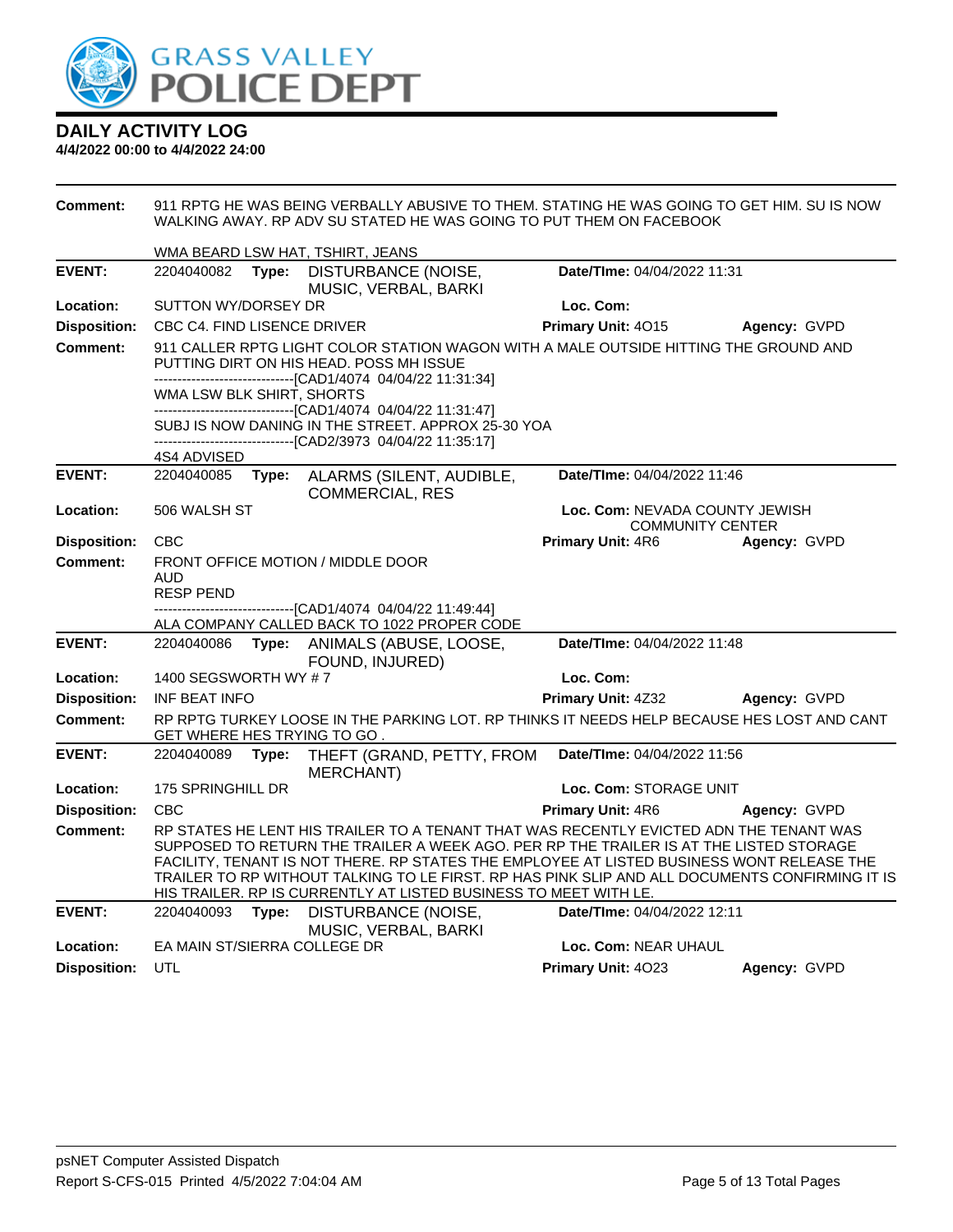

| <b>Comment:</b>     | 911 RPTG HE WAS BEING VERBALLY ABUSIVE TO THEM. STATING HE WAS GOING TO GET HIM. SU IS NOW<br>WALKING AWAY. RP ADV SU STATED HE WAS GOING TO PUT THEM ON FACEBOOK |                                                                                                                                                                                                                                                                                                                                                                                                                                                     |                                                           |              |  |
|---------------------|-------------------------------------------------------------------------------------------------------------------------------------------------------------------|-----------------------------------------------------------------------------------------------------------------------------------------------------------------------------------------------------------------------------------------------------------------------------------------------------------------------------------------------------------------------------------------------------------------------------------------------------|-----------------------------------------------------------|--------------|--|
|                     | WMA BEARD LSW HAT, TSHIRT, JEANS                                                                                                                                  |                                                                                                                                                                                                                                                                                                                                                                                                                                                     |                                                           |              |  |
| <b>EVENT:</b>       | 2204040082<br>Type:                                                                                                                                               | DISTURBANCE (NOISE,<br>MUSIC, VERBAL, BARKI                                                                                                                                                                                                                                                                                                                                                                                                         | Date/TIme: 04/04/2022 11:31                               |              |  |
| Location:           | SUTTON WY/DORSEY DR                                                                                                                                               |                                                                                                                                                                                                                                                                                                                                                                                                                                                     | Loc. Com:                                                 |              |  |
| <b>Disposition:</b> | <b>CBC C4. FIND LISENCE DRIVER</b>                                                                                                                                |                                                                                                                                                                                                                                                                                                                                                                                                                                                     | Primary Unit: 4015                                        | Agency: GVPD |  |
| <b>Comment:</b>     |                                                                                                                                                                   | 911 CALLER RPTG LIGHT COLOR STATION WAGON WITH A MALE OUTSIDE HITTING THE GROUND AND<br>PUTTING DIRT ON HIS HEAD. POSS MH ISSUE                                                                                                                                                                                                                                                                                                                     |                                                           |              |  |
|                     | WMA LSW BLK SHIRT, SHORTS                                                                                                                                         | -------------------------------[CAD1/4074_04/04/22_11:31:34]<br>------------------------------[CAD1/4074 04/04/22 11:31:47]                                                                                                                                                                                                                                                                                                                         |                                                           |              |  |
|                     |                                                                                                                                                                   | SUBJ IS NOW DANING IN THE STREET. APPROX 25-30 YOA<br>-------------------------------[CAD2/3973 04/04/22 11:35:17]                                                                                                                                                                                                                                                                                                                                  |                                                           |              |  |
|                     | 4S4 ADVISED                                                                                                                                                       |                                                                                                                                                                                                                                                                                                                                                                                                                                                     |                                                           |              |  |
| <b>EVENT:</b>       | 2204040085<br>Type:                                                                                                                                               | ALARMS (SILENT, AUDIBLE,<br><b>COMMERCIAL, RES</b>                                                                                                                                                                                                                                                                                                                                                                                                  | Date/TIme: 04/04/2022 11:46                               |              |  |
| Location:           | 506 WALSH ST                                                                                                                                                      |                                                                                                                                                                                                                                                                                                                                                                                                                                                     | Loc. Com: NEVADA COUNTY JEWISH<br><b>COMMUNITY CENTER</b> |              |  |
| <b>Disposition:</b> | <b>CBC</b>                                                                                                                                                        |                                                                                                                                                                                                                                                                                                                                                                                                                                                     | <b>Primary Unit: 4R6</b>                                  | Agency: GVPD |  |
| <b>Comment:</b>     |                                                                                                                                                                   | FRONT OFFICE MOTION / MIDDLE DOOR                                                                                                                                                                                                                                                                                                                                                                                                                   |                                                           |              |  |
|                     | AUD<br><b>RESP PEND</b>                                                                                                                                           |                                                                                                                                                                                                                                                                                                                                                                                                                                                     |                                                           |              |  |
|                     |                                                                                                                                                                   | ------------------------[CAD1/4074_04/04/22 11:49:44]                                                                                                                                                                                                                                                                                                                                                                                               |                                                           |              |  |
|                     |                                                                                                                                                                   | ALA COMPANY CALLED BACK TO 1022 PROPER CODE                                                                                                                                                                                                                                                                                                                                                                                                         |                                                           |              |  |
| <b>EVENT:</b>       | 2204040086<br>Type:                                                                                                                                               | ANIMALS (ABUSE, LOOSE,<br>FOUND, INJURED)                                                                                                                                                                                                                                                                                                                                                                                                           | Date/TIme: 04/04/2022 11:48                               |              |  |
| Location:           | 1400 SEGSWORTH WY #7                                                                                                                                              |                                                                                                                                                                                                                                                                                                                                                                                                                                                     | Loc. Com:                                                 |              |  |
| <b>Disposition:</b> | INF BEAT INFO                                                                                                                                                     |                                                                                                                                                                                                                                                                                                                                                                                                                                                     | Primary Unit: 4Z32                                        | Agency: GVPD |  |
| Comment:            | GET WHERE HES TRYING TO GO.                                                                                                                                       | RP RPTG TURKEY LOOSE IN THE PARKING LOT. RP THINKS IT NEEDS HELP BECAUSE HES LOST AND CANT                                                                                                                                                                                                                                                                                                                                                          |                                                           |              |  |
| <b>EVENT:</b>       | 2204040089<br>Type:                                                                                                                                               | THEFT (GRAND, PETTY, FROM<br><b>MERCHANT)</b>                                                                                                                                                                                                                                                                                                                                                                                                       | Date/TIme: 04/04/2022 11:56                               |              |  |
| Location:           | 175 SPRINGHILL DR                                                                                                                                                 |                                                                                                                                                                                                                                                                                                                                                                                                                                                     | Loc. Com: STORAGE UNIT                                    |              |  |
| <b>Disposition:</b> | <b>CBC</b>                                                                                                                                                        |                                                                                                                                                                                                                                                                                                                                                                                                                                                     | Primary Unit: 4R6                                         | Agency: GVPD |  |
| <b>Comment:</b>     |                                                                                                                                                                   | RP STATES HE LENT HIS TRAILER TO A TENANT THAT WAS RECENTLY EVICTED ADN THE TENANT WAS<br>SUPPOSED TO RETURN THE TRAILER A WEEK AGO. PER RP THE TRAILER IS AT THE LISTED STORAGE<br>FACILITY, TENANT IS NOT THERE. RP STATES THE EMPLOYEE AT LISTED BUSINESS WONT RELEASE THE<br>TRAILER TO RP WITHOUT TALKING TO LE FIRST. RP HAS PINK SLIP AND ALL DOCUMENTS CONFIRMING IT IS<br>HIS TRAILER. RP IS CURRENTLY AT LISTED BUSINESS TO MEET WITH LE. |                                                           |              |  |
| <b>EVENT:</b>       | 2204040093<br>Type:                                                                                                                                               | DISTURBANCE (NOISE,<br>MUSIC, VERBAL, BARKI                                                                                                                                                                                                                                                                                                                                                                                                         | Date/TIme: 04/04/2022 12:11                               |              |  |
| Location:           | EA MAIN ST/SIERRA COLLEGE DR                                                                                                                                      |                                                                                                                                                                                                                                                                                                                                                                                                                                                     | Loc. Com: NEAR UHAUL                                      |              |  |
| <b>Disposition:</b> | UTL                                                                                                                                                               |                                                                                                                                                                                                                                                                                                                                                                                                                                                     | Primary Unit: 4023                                        | Agency: GVPD |  |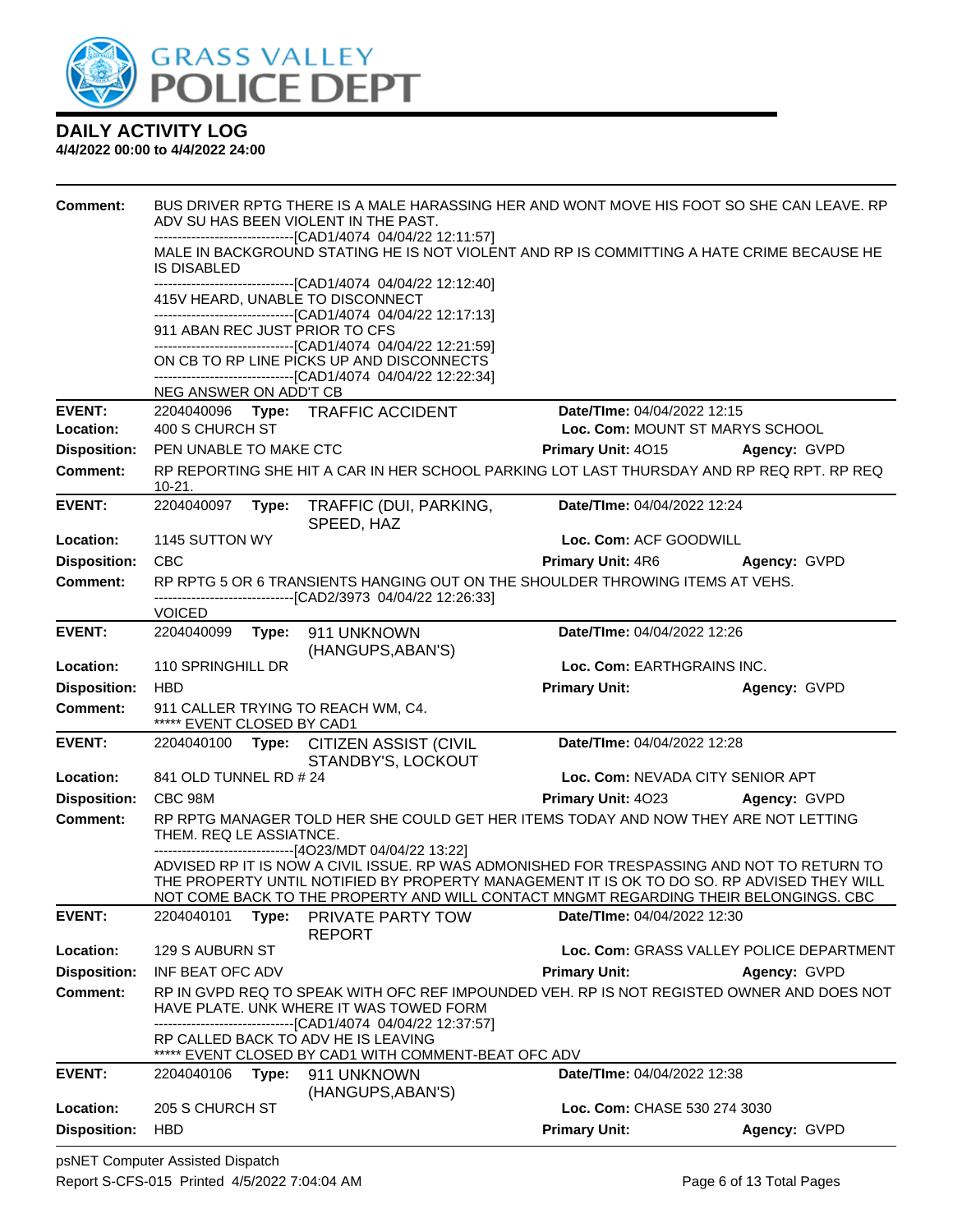

| <b>Comment:</b>            | BUS DRIVER RPTG THERE IS A MALE HARASSING HER AND WONT MOVE HIS FOOT SO SHE CAN LEAVE. RP<br>ADV SU HAS BEEN VIOLENT IN THE PAST.                                                                                                                                                                                                            |                                                                |                                          |
|----------------------------|----------------------------------------------------------------------------------------------------------------------------------------------------------------------------------------------------------------------------------------------------------------------------------------------------------------------------------------------|----------------------------------------------------------------|------------------------------------------|
|                            | ------------------------------[CAD1/4074 04/04/22 12:11:57]<br>MALE IN BACKGROUND STATING HE IS NOT VIOLENT AND RP IS COMMITTING A HATE CRIME BECAUSE HE<br>IS DISABLED                                                                                                                                                                      |                                                                |                                          |
|                            | ------------------------------[CAD1/4074 04/04/22 12:12:40]<br>415V HEARD, UNABLE TO DISCONNECT<br>------------------------------[CAD1/4074 04/04/22 12:17:13]                                                                                                                                                                               |                                                                |                                          |
|                            | 911 ABAN REC JUST PRIOR TO CFS<br>------------------------------[CAD1/4074 04/04/22 12:21:59]                                                                                                                                                                                                                                                |                                                                |                                          |
|                            | ON CB TO RP LINE PICKS UP AND DISCONNECTS<br>------------------------------[CAD1/4074 04/04/22 12:22:34]                                                                                                                                                                                                                                     |                                                                |                                          |
|                            | NEG ANSWER ON ADD'T CB                                                                                                                                                                                                                                                                                                                       |                                                                |                                          |
| <b>EVENT:</b><br>Location: | 2204040096 Type: TRAFFIC ACCIDENT<br>400 S CHURCH ST                                                                                                                                                                                                                                                                                         | Date/TIme: 04/04/2022 12:15<br>Loc. Com: MOUNT ST MARYS SCHOOL |                                          |
| <b>Disposition:</b>        | PEN UNABLE TO MAKE CTC                                                                                                                                                                                                                                                                                                                       | <b>Primary Unit: 4015</b>                                      | Agency: GVPD                             |
| <b>Comment:</b>            | RP REPORTING SHE HIT A CAR IN HER SCHOOL PARKING LOT LAST THURSDAY AND RP REQ RPT. RP REQ<br>10-21.                                                                                                                                                                                                                                          |                                                                |                                          |
| <b>EVENT:</b>              | 2204040097<br>Type: TRAFFIC (DUI, PARKING,<br>SPEED, HAZ                                                                                                                                                                                                                                                                                     | Date/TIme: 04/04/2022 12:24                                    |                                          |
| Location:                  | 1145 SUTTON WY                                                                                                                                                                                                                                                                                                                               | Loc. Com: ACF GOODWILL                                         |                                          |
| <b>Disposition:</b>        | <b>CBC</b>                                                                                                                                                                                                                                                                                                                                   | <b>Primary Unit: 4R6</b>                                       | Agency: GVPD                             |
| <b>Comment:</b>            | RP RPTG 5 OR 6 TRANSIENTS HANGING OUT ON THE SHOULDER THROWING ITEMS AT VEHS.<br>--------------------------------[CAD2/3973 04/04/22 12:26:33]                                                                                                                                                                                               |                                                                |                                          |
|                            | <b>VOICED</b>                                                                                                                                                                                                                                                                                                                                |                                                                |                                          |
| <b>EVENT:</b>              | 2204040099    Type: 911    UNKNOWN<br>(HANGUPS, ABAN'S)                                                                                                                                                                                                                                                                                      | Date/TIme: 04/04/2022 12:26                                    |                                          |
| Location:                  | 110 SPRINGHILL DR                                                                                                                                                                                                                                                                                                                            | Loc. Com: EARTHGRAINS INC.                                     |                                          |
| <b>Disposition:</b>        | <b>HBD</b>                                                                                                                                                                                                                                                                                                                                   | <b>Primary Unit:</b>                                           | Agency: GVPD                             |
| <b>Comment:</b>            | 911 CALLER TRYING TO REACH WM, C4.<br>***** EVENT CLOSED BY CAD1                                                                                                                                                                                                                                                                             |                                                                |                                          |
| <b>EVENT:</b>              | 2204040100 Type: CITIZEN ASSIST (CIVIL<br>STANDBY'S, LOCKOUT                                                                                                                                                                                                                                                                                 | Date/TIme: 04/04/2022 12:28                                    |                                          |
| Location:                  | 841 OLD TUNNEL RD # 24                                                                                                                                                                                                                                                                                                                       | Loc. Com: NEVADA CITY SENIOR APT                               |                                          |
| <b>Disposition:</b>        | CBC 98M                                                                                                                                                                                                                                                                                                                                      | Primary Unit: 4023                                             | Agency: GVPD                             |
| <b>Comment:</b>            | RP RPTG MANAGER TOLD HER SHE COULD GET HER ITEMS TODAY AND NOW THEY ARE NOT LETTING<br>THEM. REQ LE ASSIATNCE.                                                                                                                                                                                                                               |                                                                |                                          |
|                            | -------------------------------[4O23/MDT 04/04/22 13:22]<br>ADVISED RP IT IS NOW A CIVIL ISSUE. RP WAS ADMONISHED FOR TRESPASSING AND NOT TO RETURN TO<br>THE PROPERTY UNTIL NOTIFIED BY PROPERTY MANAGEMENT IT IS OK TO DO SO. RP ADVISED THEY WILL<br>NOT COME BACK TO THE PROPERTY AND WILL CONTACT MNGMT REGARDING THEIR BELONGINGS. CBC |                                                                |                                          |
| <b>EVENT:</b>              | 2204040101<br><b>PRIVATE PARTY TOW</b><br>Type:<br><b>REPORT</b>                                                                                                                                                                                                                                                                             | Date/TIme: 04/04/2022 12:30                                    |                                          |
| Location:                  | 129 S AUBURN ST                                                                                                                                                                                                                                                                                                                              |                                                                | Loc. Com: GRASS VALLEY POLICE DEPARTMENT |
| <b>Disposition:</b>        | INF BEAT OFC ADV                                                                                                                                                                                                                                                                                                                             | <b>Primary Unit:</b>                                           | Agency: GVPD                             |
| <b>Comment:</b>            | RP IN GVPD REQ TO SPEAK WITH OFC REF IMPOUNDED VEH. RP IS NOT REGISTED OWNER AND DOES NOT<br>HAVE PLATE. UNK WHERE IT WAS TOWED FORM<br>------------------------------[CAD1/4074 04/04/22 12:37:57]                                                                                                                                          |                                                                |                                          |
|                            | RP CALLED BACK TO ADV HE IS LEAVING<br>***** EVENT CLOSED BY CAD1 WITH COMMENT-BEAT OFC ADV                                                                                                                                                                                                                                                  |                                                                |                                          |
| <b>EVENT:</b>              | 2204040106    Type: 911    UNKNOWN<br>(HANGUPS, ABAN'S)                                                                                                                                                                                                                                                                                      | Date/TIme: 04/04/2022 12:38                                    |                                          |
| Location:                  | 205 S CHURCH ST                                                                                                                                                                                                                                                                                                                              | Loc. Com: CHASE 530 274 3030                                   |                                          |
| <b>Disposition:</b>        | <b>HBD</b>                                                                                                                                                                                                                                                                                                                                   | <b>Primary Unit:</b>                                           | Agency: GVPD                             |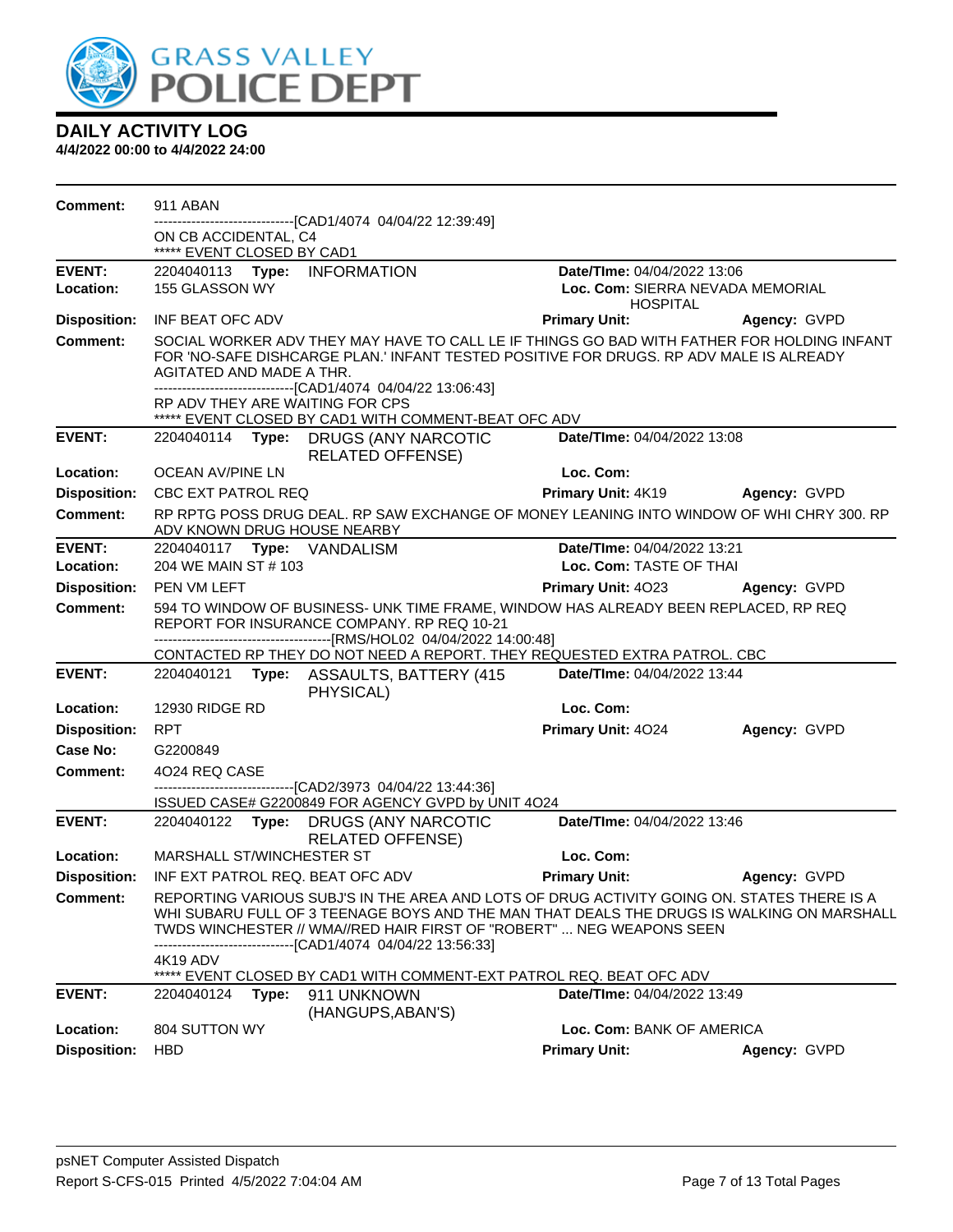

| Comment:            | 911 ABAN                                           |       |                                                                                         |                                                                                                                                                                    |                                                                                            |
|---------------------|----------------------------------------------------|-------|-----------------------------------------------------------------------------------------|--------------------------------------------------------------------------------------------------------------------------------------------------------------------|--------------------------------------------------------------------------------------------|
|                     | ON CB ACCIDENTAL, C4<br>***** EVENT CLOSED BY CAD1 |       | ---------------[CAD1/4074_04/04/22 12:39:49]                                            |                                                                                                                                                                    |                                                                                            |
| <b>EVENT:</b>       |                                                    |       | 2204040113 Type: INFORMATION                                                            | Date/TIme: 04/04/2022 13:06                                                                                                                                        |                                                                                            |
| Location:           | 155 GLASSON WY                                     |       |                                                                                         |                                                                                                                                                                    | Loc. Com: SIERRA NEVADA MEMORIAL                                                           |
| <b>Disposition:</b> | INF BEAT OFC ADV                                   |       |                                                                                         | <b>HOSPITAL</b><br><b>Primary Unit:</b>                                                                                                                            | Agency: GVPD                                                                               |
| <b>Comment:</b>     | AGITATED AND MADE A THR.                           |       | -------------------------------[CAD1/4074 04/04/22 13:06:43]                            | FOR 'NO-SAFE DISHCARGE PLAN.' INFANT TESTED POSITIVE FOR DRUGS. RP ADV MALE IS ALREADY                                                                             | SOCIAL WORKER ADV THEY MAY HAVE TO CALL LE IF THINGS GO BAD WITH FATHER FOR HOLDING INFANT |
|                     |                                                    |       | RP ADV THEY ARE WAITING FOR CPS<br>***** EVENT CLOSED BY CAD1 WITH COMMENT-BEAT OFC ADV |                                                                                                                                                                    |                                                                                            |
| <b>EVENT:</b>       |                                                    |       | 2204040114 Type: DRUGS (ANY NARCOTIC<br><b>RELATED OFFENSE)</b>                         | Date/TIme: 04/04/2022 13:08                                                                                                                                        |                                                                                            |
| Location:           | OCEAN AV/PINE LN                                   |       |                                                                                         | Loc. Com:                                                                                                                                                          |                                                                                            |
| <b>Disposition:</b> | <b>CBC EXT PATROL REQ</b>                          |       |                                                                                         |                                                                                                                                                                    | Primary Unit: 4K19 Agency: GVPD                                                            |
| <b>Comment:</b>     |                                                    |       | ADV KNOWN DRUG HOUSE NEARBY                                                             | RP RPTG POSS DRUG DEAL. RP SAW EXCHANGE OF MONEY LEANING INTO WINDOW OF WHI CHRY 300. RP                                                                           |                                                                                            |
| <b>EVENT:</b>       |                                                    |       | 2204040117 <b>Type:</b> VANDALISM                                                       | Date/TIme: 04/04/2022 13:21                                                                                                                                        |                                                                                            |
| Location:           | 204 WE MAIN ST # 103                               |       |                                                                                         | Loc. Com: TASTE OF THAI                                                                                                                                            |                                                                                            |
| <b>Disposition:</b> | PEN VM LEFT                                        |       |                                                                                         | Primary Unit: 4023                                                                                                                                                 | Agency: GVPD                                                                               |
| Comment:            |                                                    |       | REPORT FOR INSURANCE COMPANY. RP REQ 10-21                                              | 594 TO WINDOW OF BUSINESS- UNK TIME FRAME, WINDOW HAS ALREADY BEEN REPLACED, RP REQ                                                                                |                                                                                            |
|                     |                                                    |       |                                                                                         | CONTACTED RP THEY DO NOT NEED A REPORT. THEY REQUESTED EXTRA PATROL. CBC                                                                                           |                                                                                            |
| <b>EVENT:</b>       |                                                    |       | 2204040121 Type: ASSAULTS, BATTERY (415<br>PHYSICAL)                                    | Date/TIme: 04/04/2022 13:44                                                                                                                                        |                                                                                            |
| Location:           | 12930 RIDGE RD                                     |       |                                                                                         | Loc. Com:                                                                                                                                                          |                                                                                            |
| <b>Disposition:</b> | <b>RPT</b>                                         |       |                                                                                         | Primary Unit: 4024                                                                                                                                                 | Agency: GVPD                                                                               |
| Case No:            | G2200849                                           |       |                                                                                         |                                                                                                                                                                    |                                                                                            |
| Comment:            | 4024 REQ CASE                                      |       | -------------------------------[CAD2/3973_04/04/22_13:44:36]                            |                                                                                                                                                                    |                                                                                            |
|                     |                                                    |       | ISSUED CASE# G2200849 FOR AGENCY GVPD by UNIT 4O24                                      |                                                                                                                                                                    |                                                                                            |
| <b>EVENT:</b>       |                                                    |       | 2204040122 Type: DRUGS (ANY NARCOTIC<br><b>RELATED OFFENSE)</b>                         | Date/TIme: 04/04/2022 13:46                                                                                                                                        |                                                                                            |
| Location:           | MARSHALL ST/WINCHESTER ST                          |       |                                                                                         | Loc. Com:                                                                                                                                                          |                                                                                            |
|                     |                                                    |       | Disposition: INF EXT PATROL REQ. BEAT OFC ADV                                           | <b>Primary Unit:</b>                                                                                                                                               | Agency: GVPD                                                                               |
| <b>Comment:</b>     |                                                    |       | ---------------[CAD1/4074_04/04/22 13:56:33]                                            | REPORTING VARIOUS SUBJ'S IN THE AREA AND LOTS OF DRUG ACTIVITY GOING ON. STATES THERE IS A<br>TWDS WINCHESTER // WMA//RED HAIR FIRST OF "ROBERT"  NEG WEAPONS SEEN | WHI SUBARU FULL OF 3 TEENAGE BOYS AND THE MAN THAT DEALS THE DRUGS IS WALKING ON MARSHALL  |
|                     | 4K19 ADV                                           |       |                                                                                         | EVENT CLOSED BY CAD1 WITH COMMENT-EXT PATROL REQ. BEAT OFC ADV                                                                                                     |                                                                                            |
| <b>EVENT:</b>       | 2204040124                                         | Type: | 911 UNKNOWN<br>(HANGUPS, ABAN'S)                                                        | Date/TIme: 04/04/2022 13:49                                                                                                                                        |                                                                                            |
| Location:           | 804 SUTTON WY                                      |       |                                                                                         | Loc. Com: BANK OF AMERICA                                                                                                                                          |                                                                                            |
| <b>Disposition:</b> | <b>HBD</b>                                         |       |                                                                                         | <b>Primary Unit:</b>                                                                                                                                               | Agency: GVPD                                                                               |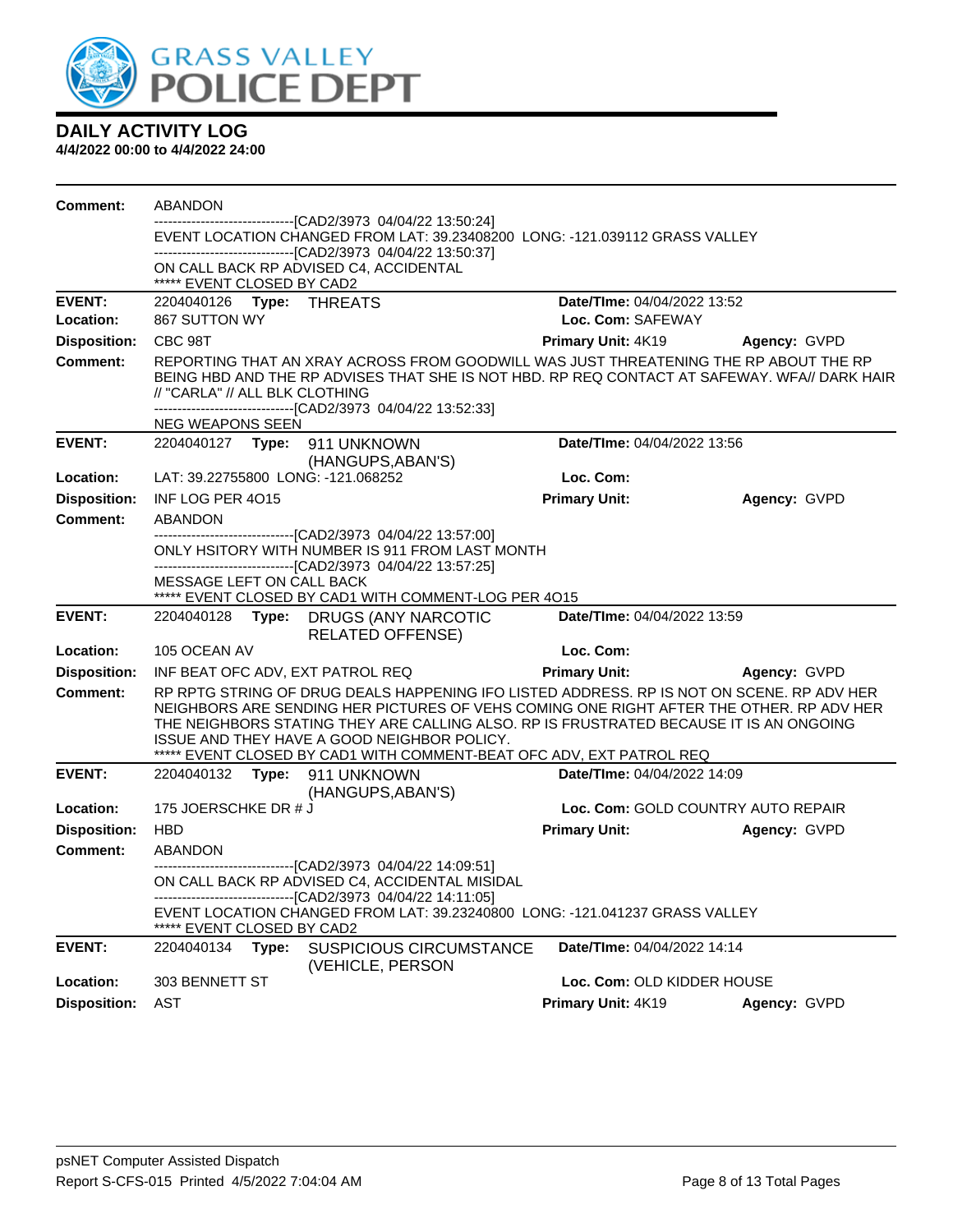

| <b>Comment:</b>     | ABANDON                                            |       |                                                                                                                                                                                                                                                                                                                                                                                                       |                             |                                    |
|---------------------|----------------------------------------------------|-------|-------------------------------------------------------------------------------------------------------------------------------------------------------------------------------------------------------------------------------------------------------------------------------------------------------------------------------------------------------------------------------------------------------|-----------------------------|------------------------------------|
|                     |                                                    |       | -------------------------------[CAD2/3973_04/04/22_13:50:24]<br>EVENT LOCATION CHANGED FROM LAT: 39.23408200 LONG: -121.039112 GRASS VALLEY<br>-------------------------------[CAD2/3973 04/04/22 13:50:37]                                                                                                                                                                                           |                             |                                    |
|                     | ***** EVENT CLOSED BY CAD2                         |       | ON CALL BACK RP ADVISED C4, ACCIDENTAL                                                                                                                                                                                                                                                                                                                                                                |                             |                                    |
| <b>EVENT:</b>       |                                                    |       |                                                                                                                                                                                                                                                                                                                                                                                                       | Date/TIme: 04/04/2022 13:52 |                                    |
| Location:           | 867 SUTTON WY                                      |       |                                                                                                                                                                                                                                                                                                                                                                                                       | Loc. Com: SAFEWAY           |                                    |
| <b>Disposition:</b> | CBC 98T                                            |       |                                                                                                                                                                                                                                                                                                                                                                                                       | <b>Primary Unit: 4K19</b>   | Agency: GVPD                       |
| <b>Comment:</b>     | // "CARLA" // ALL BLK CLOTHING<br>NEG WEAPONS SEEN |       | REPORTING THAT AN XRAY ACROSS FROM GOODWILL WAS JUST THREATENING THE RP ABOUT THE RP<br>BEING HBD AND THE RP ADVISES THAT SHE IS NOT HBD. RP REQ CONTACT AT SAFEWAY. WFA// DARK HAIR<br>-------------------------------[CAD2/3973 04/04/22 13:52:33]                                                                                                                                                  |                             |                                    |
| <b>EVENT:</b>       |                                                    |       |                                                                                                                                                                                                                                                                                                                                                                                                       | Date/TIme: 04/04/2022 13:56 |                                    |
|                     |                                                    |       | (HANGUPS, ABAN'S)                                                                                                                                                                                                                                                                                                                                                                                     |                             |                                    |
| Location:           |                                                    |       | LAT: 39.22755800 LONG: -121.068252                                                                                                                                                                                                                                                                                                                                                                    | Loc. Com:                   |                                    |
| <b>Disposition:</b> | INF LOG PER 4015                                   |       |                                                                                                                                                                                                                                                                                                                                                                                                       | <b>Primary Unit:</b>        | Agency: GVPD                       |
| <b>Comment:</b>     | <b>ABANDON</b>                                     |       |                                                                                                                                                                                                                                                                                                                                                                                                       |                             |                                    |
|                     |                                                    |       | ----------------------[CAD2/3973 04/04/22 13:57:00]<br>ONLY HSITORY WITH NUMBER IS 911 FROM LAST MONTH<br>-------------------------------[CAD2/3973 04/04/22 13:57:25]                                                                                                                                                                                                                                |                             |                                    |
|                     | MESSAGE LEFT ON CALL BACK                          |       | ***** EVENT CLOSED BY CAD1 WITH COMMENT-LOG PER 4015                                                                                                                                                                                                                                                                                                                                                  |                             |                                    |
| <b>EVENT:</b>       |                                                    |       | 2204040128 Type: DRUGS (ANY NARCOTIC<br><b>RELATED OFFENSE)</b>                                                                                                                                                                                                                                                                                                                                       | Date/TIme: 04/04/2022 13:59 |                                    |
| Location:           | 105 OCEAN AV                                       |       |                                                                                                                                                                                                                                                                                                                                                                                                       | Loc. Com:                   |                                    |
| <b>Disposition:</b> |                                                    |       | INF BEAT OFC ADV, EXT PATROL REQ                                                                                                                                                                                                                                                                                                                                                                      | <b>Primary Unit:</b>        | Agency: GVPD                       |
| <b>Comment:</b>     |                                                    |       | RP RPTG STRING OF DRUG DEALS HAPPENING IFO LISTED ADDRESS. RP IS NOT ON SCENE. RP ADV HER<br>NEIGHBORS ARE SENDING HER PICTURES OF VEHS COMING ONE RIGHT AFTER THE OTHER. RP ADV HER<br>THE NEIGHBORS STATING THEY ARE CALLING ALSO. RP IS FRUSTRATED BECAUSE IT IS AN ONGOING<br>ISSUE AND THEY HAVE A GOOD NEIGHBOR POLICY.<br>***** EVENT CLOSED BY CAD1 WITH COMMENT-BEAT OFC ADV, EXT PATROL REQ |                             |                                    |
| <b>EVENT:</b>       |                                                    |       | 2204040132 Type: 911 UNKNOWN                                                                                                                                                                                                                                                                                                                                                                          | Date/TIme: 04/04/2022 14:09 |                                    |
| Location:           | 175 JOERSCHKE DR # J                               |       | (HANGUPS, ABAN'S)                                                                                                                                                                                                                                                                                                                                                                                     |                             | Loc. Com: GOLD COUNTRY AUTO REPAIR |
| <b>Disposition:</b> | <b>HBD</b>                                         |       |                                                                                                                                                                                                                                                                                                                                                                                                       | <b>Primary Unit:</b>        | Agency: GVPD                       |
| <b>Comment:</b>     | ABANDON                                            |       |                                                                                                                                                                                                                                                                                                                                                                                                       |                             |                                    |
|                     |                                                    |       | ------------------------------[CAD2/3973 04/04/22 14:09:51]<br>ON CALL BACK RP ADVISED C4, ACCIDENTAL MISIDAL<br>-------------------------------[CAD2/3973 04/04/22 14:11:05]                                                                                                                                                                                                                         |                             |                                    |
|                     | EVENT CLOSED BY CAD2                               |       | EVENT LOCATION CHANGED FROM LAT: 39.23240800 LONG: -121.041237 GRASS VALLEY                                                                                                                                                                                                                                                                                                                           |                             |                                    |
| <b>EVENT:</b>       | 2204040134                                         | Type: | <b>SUSPICIOUS CIRCUMSTANCE</b><br>(VEHICLE, PERSON                                                                                                                                                                                                                                                                                                                                                    | Date/TIme: 04/04/2022 14:14 |                                    |
| Location:           | 303 BENNETT ST                                     |       |                                                                                                                                                                                                                                                                                                                                                                                                       | Loc. Com: OLD KIDDER HOUSE  |                                    |
| <b>Disposition:</b> | AST                                                |       |                                                                                                                                                                                                                                                                                                                                                                                                       | Primary Unit: 4K19          | Agency: GVPD                       |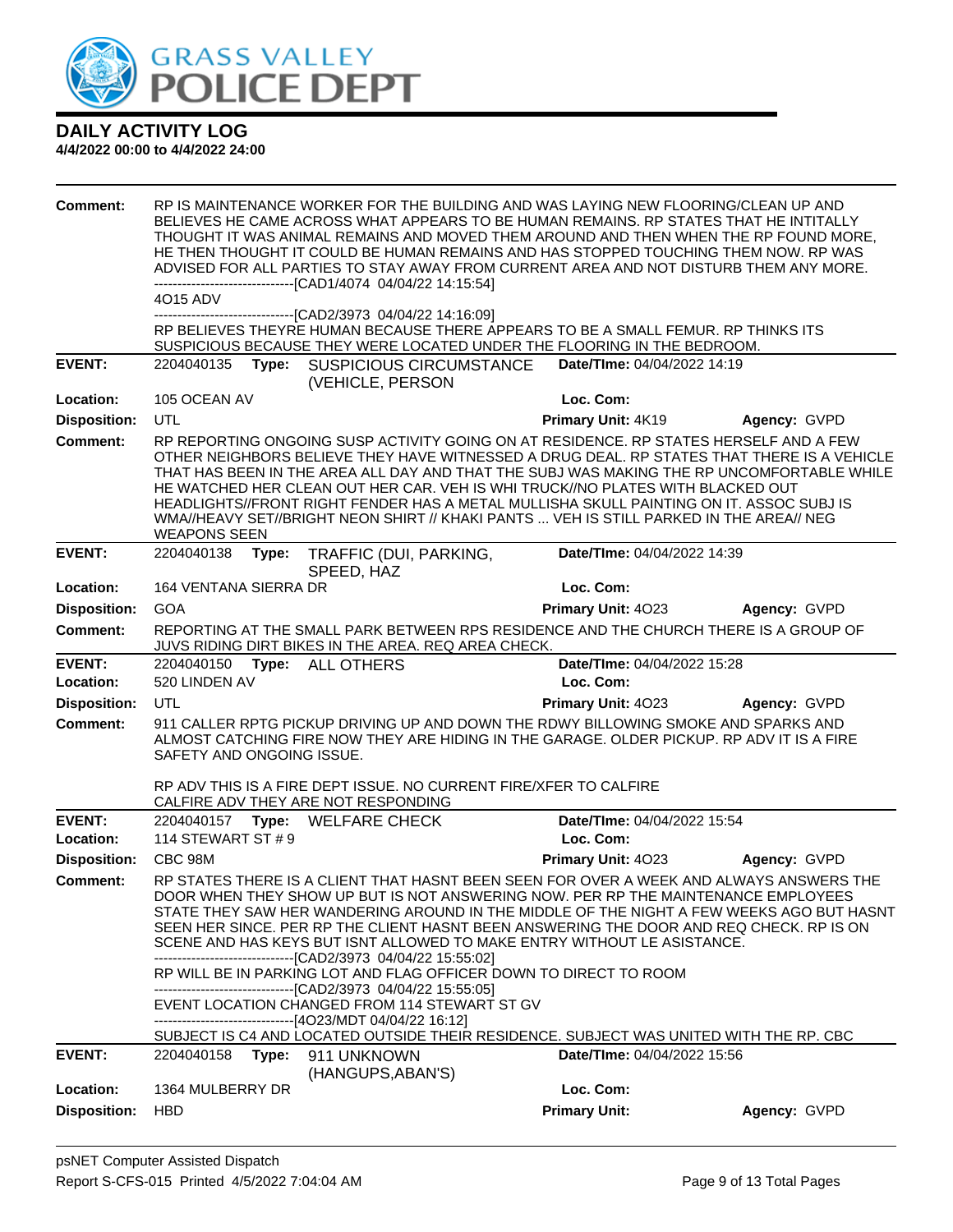

| <b>Comment:</b><br><b>EVENT:</b> | 4015 ADV<br>2204040135              | Type: | ------------------------------[CAD1/4074 04/04/22 14:15:54]<br>---------------[CAD2/3973_04/04/22 14:16:09]<br><b>SUSPICIOUS CIRCUMSTANCE</b>                                                                                             | SUSPICIOUS BECAUSE THEY WERE LOCATED UNDER THE FLOORING IN THE BEDROOM.<br>Date/TIme: 04/04/2022 14:19                                       | RP IS MAINTENANCE WORKER FOR THE BUILDING AND WAS LAYING NEW FLOORING/CLEAN UP AND<br>BELIEVES HE CAME ACROSS WHAT APPEARS TO BE HUMAN REMAINS. RP STATES THAT HE INTITALLY<br>THOUGHT IT WAS ANIMAL REMAINS AND MOVED THEM AROUND AND THEN WHEN THE RP FOUND MORE,<br>HE THEN THOUGHT IT COULD BE HUMAN REMAINS AND HAS STOPPED TOUCHING THEM NOW. RP WAS<br>ADVISED FOR ALL PARTIES TO STAY AWAY FROM CURRENT AREA AND NOT DISTURB THEM ANY MORE.<br>RP BELIEVES THEYRE HUMAN BECAUSE THERE APPEARS TO BE A SMALL FEMUR. RP THINKS ITS |  |
|----------------------------------|-------------------------------------|-------|-------------------------------------------------------------------------------------------------------------------------------------------------------------------------------------------------------------------------------------------|----------------------------------------------------------------------------------------------------------------------------------------------|------------------------------------------------------------------------------------------------------------------------------------------------------------------------------------------------------------------------------------------------------------------------------------------------------------------------------------------------------------------------------------------------------------------------------------------------------------------------------------------------------------------------------------------|--|
|                                  |                                     |       | (VEHICLE, PERSON                                                                                                                                                                                                                          |                                                                                                                                              |                                                                                                                                                                                                                                                                                                                                                                                                                                                                                                                                          |  |
| Location:                        | 105 OCEAN AV                        |       |                                                                                                                                                                                                                                           | Loc. Com:                                                                                                                                    |                                                                                                                                                                                                                                                                                                                                                                                                                                                                                                                                          |  |
| <b>Disposition:</b>              | UTL                                 |       |                                                                                                                                                                                                                                           | Primary Unit: 4K19                                                                                                                           | Agency: GVPD                                                                                                                                                                                                                                                                                                                                                                                                                                                                                                                             |  |
| <b>Comment:</b>                  | <b>WEAPONS SEEN</b>                 |       |                                                                                                                                                                                                                                           | HE WATCHED HER CLEAN OUT HER CAR. VEH IS WHI TRUCK//NO PLATES WITH BLACKED OUT                                                               | RP REPORTING ONGOING SUSP ACTIVITY GOING ON AT RESIDENCE. RP STATES HERSELF AND A FEW<br>OTHER NEIGHBORS BELIEVE THEY HAVE WITNESSED A DRUG DEAL. RP STATES THAT THERE IS A VEHICLE<br>THAT HAS BEEN IN THE AREA ALL DAY AND THAT THE SUBJ WAS MAKING THE RP UNCOMFORTABLE WHILE<br>HEADLIGHTS//FRONT RIGHT FENDER HAS A METAL MULLISHA SKULL PAINTING ON IT. ASSOC SUBJ IS<br>WMA//HEAVY SET//BRIGHT NEON SHIRT // KHAKI PANTS  VEH IS STILL PARKED IN THE AREA// NEG                                                                   |  |
| <b>EVENT:</b>                    | 2204040138                          | Type: | TRAFFIC (DUI, PARKING,<br>SPEED, HAZ                                                                                                                                                                                                      | Date/TIme: 04/04/2022 14:39                                                                                                                  |                                                                                                                                                                                                                                                                                                                                                                                                                                                                                                                                          |  |
| Location:                        | 164 VENTANA SIERRA DR<br><b>GOA</b> |       |                                                                                                                                                                                                                                           | Loc. Com:<br>Primary Unit: 4023                                                                                                              |                                                                                                                                                                                                                                                                                                                                                                                                                                                                                                                                          |  |
| <b>Disposition:</b>              |                                     |       |                                                                                                                                                                                                                                           |                                                                                                                                              | Agency: GVPD                                                                                                                                                                                                                                                                                                                                                                                                                                                                                                                             |  |
| Comment:                         |                                     |       | JUVS RIDING DIRT BIKES IN THE AREA. REQ AREA CHECK.                                                                                                                                                                                       |                                                                                                                                              | REPORTING AT THE SMALL PARK BETWEEN RPS RESIDENCE AND THE CHURCH THERE IS A GROUP OF                                                                                                                                                                                                                                                                                                                                                                                                                                                     |  |
| <b>EVENT:</b>                    | 2204040150                          | Type: | <b>ALL OTHERS</b>                                                                                                                                                                                                                         | Date/TIme: 04/04/2022 15:28                                                                                                                  |                                                                                                                                                                                                                                                                                                                                                                                                                                                                                                                                          |  |
| Location:                        | 520 LINDEN AV                       |       |                                                                                                                                                                                                                                           | Loc. Com:                                                                                                                                    |                                                                                                                                                                                                                                                                                                                                                                                                                                                                                                                                          |  |
| <b>Disposition:</b>              | UTL                                 |       |                                                                                                                                                                                                                                           | Primary Unit: 4023                                                                                                                           | Agency: GVPD<br>911 CALLER RPTG PICKUP DRIVING UP AND DOWN THE RDWY BILLOWING SMOKE AND SPARKS AND                                                                                                                                                                                                                                                                                                                                                                                                                                       |  |
| <b>Comment:</b>                  | SAFETY AND ONGOING ISSUE.           |       | RP ADV THIS IS A FIRE DEPT ISSUE. NO CURRENT FIRE/XFER TO CALFIRE                                                                                                                                                                         |                                                                                                                                              | ALMOST CATCHING FIRE NOW THEY ARE HIDING IN THE GARAGE. OLDER PICKUP, RP ADV IT IS A FIRE                                                                                                                                                                                                                                                                                                                                                                                                                                                |  |
| <b>EVENT:</b>                    | 2204040157                          |       | CALFIRE ADV THEY ARE NOT RESPONDING<br>Type: WELFARE CHECK                                                                                                                                                                                | Date/TIme: 04/04/2022 15:54                                                                                                                  |                                                                                                                                                                                                                                                                                                                                                                                                                                                                                                                                          |  |
| Location:                        | 114 STEWART ST # 9                  |       |                                                                                                                                                                                                                                           | Loc. Com:                                                                                                                                    |                                                                                                                                                                                                                                                                                                                                                                                                                                                                                                                                          |  |
| <b>Disposition:</b>              | CBC 98M                             |       |                                                                                                                                                                                                                                           | Primary Unit: 4023                                                                                                                           | Agency: GVPD                                                                                                                                                                                                                                                                                                                                                                                                                                                                                                                             |  |
| Comment:                         |                                     |       | -------------------------------[CAD2/3973 04/04/22 15:55:02]<br>-------------------------------[CAD2/3973_04/04/22_15:55:05]<br>EVENT LOCATION CHANGED FROM 114 STEWART ST GV<br>-------------------------------[4O23/MDT 04/04/22 16:12] | SCENE AND HAS KEYS BUT ISNT ALLOWED TO MAKE ENTRY WITHOUT LE ASISTANCE.<br>RP WILL BE IN PARKING LOT AND FLAG OFFICER DOWN TO DIRECT TO ROOM | RP STATES THERE IS A CLIENT THAT HASNT BEEN SEEN FOR OVER A WEEK AND ALWAYS ANSWERS THE<br>DOOR WHEN THEY SHOW UP BUT IS NOT ANSWERING NOW. PER RP THE MAINTENANCE EMPLOYEES<br>STATE THEY SAW HER WANDERING AROUND IN THE MIDDLE OF THE NIGHT A FEW WEEKS AGO BUT HASNT<br>SEEN HER SINCE. PER RP THE CLIENT HASNT BEEN ANSWERING THE DOOR AND REQ CHECK. RP IS ON                                                                                                                                                                      |  |
|                                  |                                     |       |                                                                                                                                                                                                                                           |                                                                                                                                              | SUBJECT IS C4 AND LOCATED OUTSIDE THEIR RESIDENCE. SUBJECT WAS UNITED WITH THE RP. CBC                                                                                                                                                                                                                                                                                                                                                                                                                                                   |  |
| <b>EVENT:</b>                    | 2204040158 Type:                    |       | 911 UNKNOWN<br>(HANGUPS, ABAN'S)                                                                                                                                                                                                          | Date/TIme: 04/04/2022 15:56                                                                                                                  |                                                                                                                                                                                                                                                                                                                                                                                                                                                                                                                                          |  |
| Location:                        | 1364 MULBERRY DR                    |       |                                                                                                                                                                                                                                           | Loc. Com:                                                                                                                                    |                                                                                                                                                                                                                                                                                                                                                                                                                                                                                                                                          |  |
| <b>Disposition:</b>              | <b>HBD</b>                          |       |                                                                                                                                                                                                                                           | <b>Primary Unit:</b>                                                                                                                         | Agency: GVPD                                                                                                                                                                                                                                                                                                                                                                                                                                                                                                                             |  |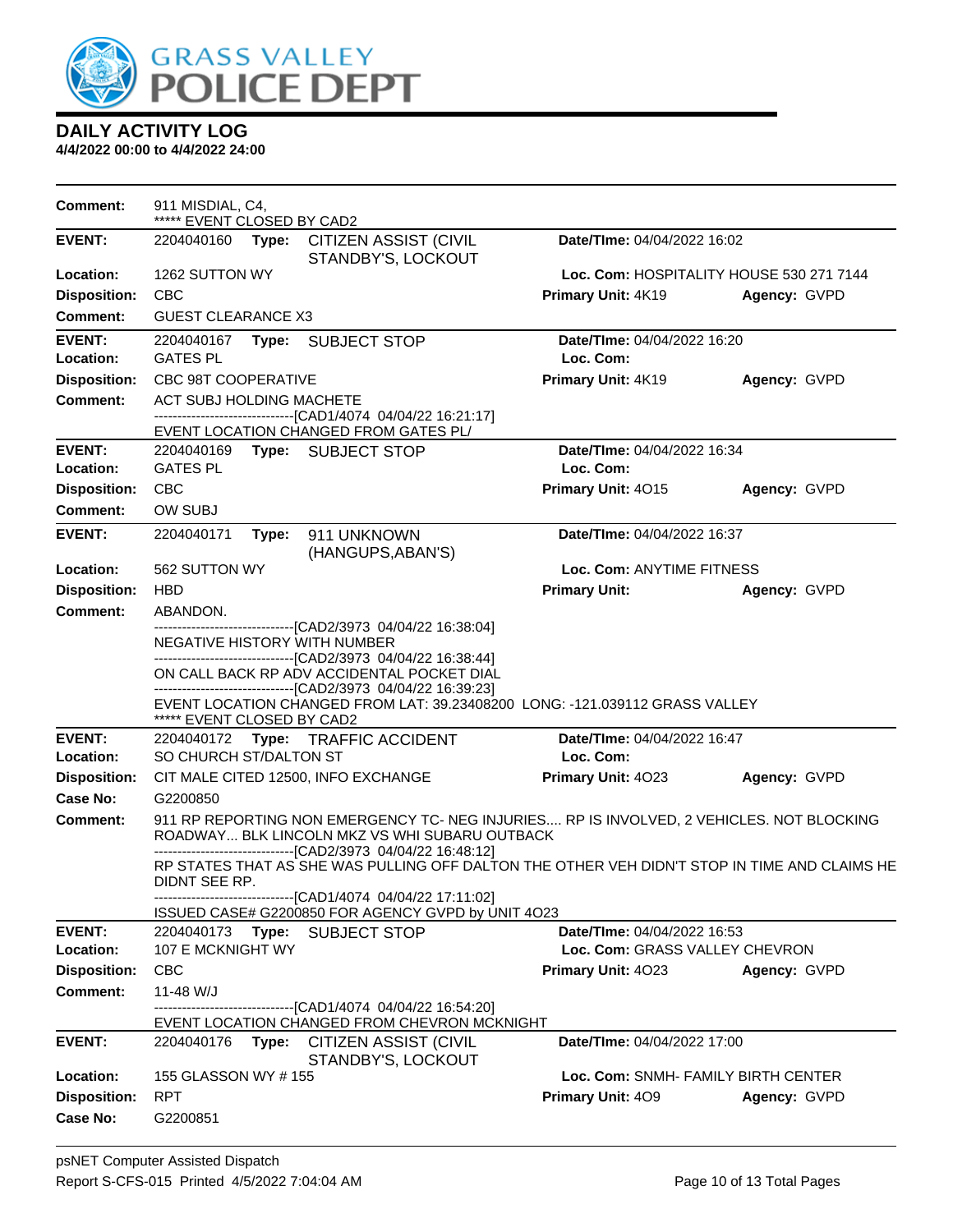

| <b>Comment:</b>                  | 911 MISDIAL, C4,<br>***** EVENT CLOSED BY CAD2                                     |                                                                                              |                                                                                               |                                                                                              |                                          |  |  |
|----------------------------------|------------------------------------------------------------------------------------|----------------------------------------------------------------------------------------------|-----------------------------------------------------------------------------------------------|----------------------------------------------------------------------------------------------|------------------------------------------|--|--|
| <b>EVENT:</b>                    | 2204040160 <b>Type:</b>                                                            |                                                                                              | CITIZEN ASSIST (CIVIL<br>STANDBY'S, LOCKOUT                                                   | Date/TIme: 04/04/2022 16:02                                                                  |                                          |  |  |
| Location:                        | 1262 SUTTON WY                                                                     |                                                                                              |                                                                                               |                                                                                              | Loc. Com: HOSPITALITY HOUSE 530 271 7144 |  |  |
| <b>Disposition:</b>              | <b>CBC</b>                                                                         |                                                                                              |                                                                                               | Primary Unit: 4K19                                                                           | Agency: GVPD                             |  |  |
| Comment:                         | <b>GUEST CLEARANCE X3</b>                                                          |                                                                                              |                                                                                               |                                                                                              |                                          |  |  |
| <b>EVENT:</b>                    |                                                                                    |                                                                                              | 2204040167 Type: SUBJECT STOP                                                                 | Date/TIme: 04/04/2022 16:20                                                                  |                                          |  |  |
| Location:                        | <b>GATES PL</b>                                                                    |                                                                                              |                                                                                               | Loc. Com:                                                                                    |                                          |  |  |
| <b>Disposition:</b>              | <b>CBC 98T COOPERATIVE</b>                                                         |                                                                                              |                                                                                               | Primary Unit: 4K19                                                                           | Agency: GVPD                             |  |  |
| <b>Comment:</b>                  | ACT SUBJ HOLDING MACHETE                                                           |                                                                                              | -------------------------------[CAD1/4074 04/04/22 16:21:17]                                  |                                                                                              |                                          |  |  |
|                                  |                                                                                    |                                                                                              | EVENT LOCATION CHANGED FROM GATES PL/                                                         |                                                                                              |                                          |  |  |
| <b>EVENT:</b>                    |                                                                                    |                                                                                              | 2204040169 Type: SUBJECT STOP                                                                 | Date/TIme: 04/04/2022 16:34                                                                  |                                          |  |  |
| Location:                        | <b>GATES PL</b>                                                                    |                                                                                              |                                                                                               | Loc. Com:                                                                                    |                                          |  |  |
| <b>Disposition:</b>              | <b>CBC</b>                                                                         |                                                                                              |                                                                                               | Primary Unit: 4015                                                                           | Agency: GVPD                             |  |  |
| <b>Comment:</b>                  | <b>OW SUBJ</b>                                                                     |                                                                                              |                                                                                               |                                                                                              |                                          |  |  |
| <b>EVENT:</b>                    | 2204040171                                                                         | Type:                                                                                        | 911 UNKNOWN<br>(HANGUPS, ABAN'S)                                                              | Date/TIme: 04/04/2022 16:37                                                                  |                                          |  |  |
| Location:                        | 562 SUTTON WY                                                                      |                                                                                              |                                                                                               | Loc. Com: ANYTIME FITNESS                                                                    |                                          |  |  |
| <b>Disposition:</b>              | <b>HBD</b>                                                                         |                                                                                              |                                                                                               | <b>Primary Unit:</b>                                                                         | Agency: GVPD                             |  |  |
| <b>Comment:</b>                  | ABANDON.                                                                           |                                                                                              |                                                                                               |                                                                                              |                                          |  |  |
|                                  | ---------------------[CAD2/3973_04/04/22_16:38:04]<br>NEGATIVE HISTORY WITH NUMBER |                                                                                              |                                                                                               |                                                                                              |                                          |  |  |
|                                  | -------------------------------[CAD2/3973 04/04/22 16:38:44]                       |                                                                                              |                                                                                               |                                                                                              |                                          |  |  |
|                                  |                                                                                    | ON CALL BACK RP ADV ACCIDENTAL POCKET DIAL<br>-----------------[CAD2/3973 04/04/22 16:39:23] |                                                                                               |                                                                                              |                                          |  |  |
|                                  |                                                                                    |                                                                                              |                                                                                               | EVENT LOCATION CHANGED FROM LAT: 39.23408200 LONG: -121.039112 GRASS VALLEY                  |                                          |  |  |
|                                  | ***** EVENT CLOSED BY CAD2                                                         |                                                                                              |                                                                                               |                                                                                              |                                          |  |  |
| <b>EVENT:</b>                    |                                                                                    |                                                                                              | 2204040172 Type: TRAFFIC ACCIDENT                                                             | Date/TIme: 04/04/2022 16:47                                                                  |                                          |  |  |
| Location:<br><b>Disposition:</b> | SO CHURCH ST/DALTON ST                                                             |                                                                                              | CIT MALE CITED 12500, INFO EXCHANGE                                                           | Loc. Com:<br>Primary Unit: 4023                                                              | Agency: GVPD                             |  |  |
| Case No:                         | G2200850                                                                           |                                                                                              |                                                                                               |                                                                                              |                                          |  |  |
| Comment:                         |                                                                                    |                                                                                              |                                                                                               | 911 RP REPORTING NON EMERGENCY TC- NEG INJURIES RP IS INVOLVED, 2 VEHICLES. NOT BLOCKING     |                                          |  |  |
|                                  |                                                                                    |                                                                                              | ROADWAY BLK LINCOLN MKZ VS WHI SUBARU OUTBACK                                                 |                                                                                              |                                          |  |  |
|                                  |                                                                                    |                                                                                              | --------------------------------[CAD2/3973 04/04/22 16:48:12]                                 | RP STATES THAT AS SHE WAS PULLING OFF DALTON THE OTHER VEH DIDN'T STOP IN TIME AND CLAIMS HE |                                          |  |  |
|                                  | DIDNT SEE RP.                                                                      |                                                                                              |                                                                                               |                                                                                              |                                          |  |  |
|                                  |                                                                                    |                                                                                              | ----------------------------------[CAD1/4074 04/04/22 17:11:02]                               |                                                                                              |                                          |  |  |
| <b>EVENT:</b>                    | 2204040173                                                                         | Type:                                                                                        | ISSUED CASE# G2200850 FOR AGENCY GVPD by UNIT 4O23<br><b>SUBJECT STOP</b>                     | Date/TIme: 04/04/2022 16:53                                                                  |                                          |  |  |
| Location:                        | 107 E MCKNIGHT WY                                                                  |                                                                                              |                                                                                               | Loc. Com: GRASS VALLEY CHEVRON                                                               |                                          |  |  |
| <b>Disposition:</b>              | <b>CBC</b>                                                                         |                                                                                              |                                                                                               | Primary Unit: 4023                                                                           | Agency: GVPD                             |  |  |
| Comment:                         | 11-48 W/J                                                                          |                                                                                              |                                                                                               |                                                                                              |                                          |  |  |
|                                  |                                                                                    |                                                                                              | ----------------[CAD1/4074 04/04/22 16:54:20]<br>EVENT LOCATION CHANGED FROM CHEVRON MCKNIGHT |                                                                                              |                                          |  |  |
| <b>EVENT:</b>                    | 2204040176                                                                         |                                                                                              | Type: CITIZEN ASSIST (CIVIL                                                                   | <b>Date/TIme: 04/04/2022 17:00</b>                                                           |                                          |  |  |
|                                  |                                                                                    |                                                                                              | STANDBY'S, LOCKOUT                                                                            |                                                                                              |                                          |  |  |
| Location:                        | 155 GLASSON WY #155                                                                |                                                                                              |                                                                                               |                                                                                              | Loc. Com: SNMH- FAMILY BIRTH CENTER      |  |  |
| <b>Disposition:</b>              | <b>RPT</b>                                                                         |                                                                                              |                                                                                               | Primary Unit: 409                                                                            | Agency: GVPD                             |  |  |
| Case No:                         | G2200851                                                                           |                                                                                              |                                                                                               |                                                                                              |                                          |  |  |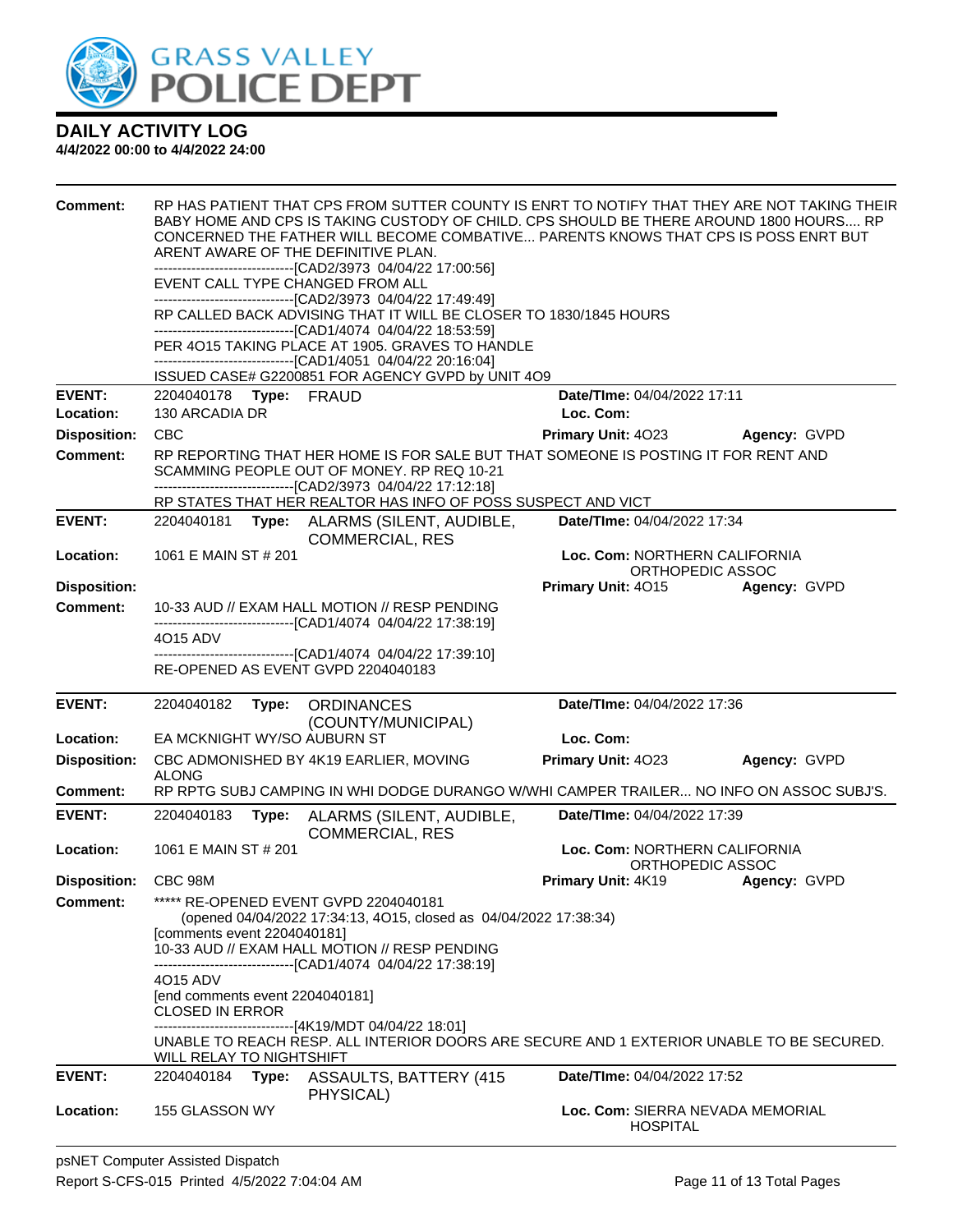

| <b>Comment:</b>      | EVENT CALL TYPE CHANGED FROM ALL                                                                     | RP HAS PATIENT THAT CPS FROM SUTTER COUNTY IS ENRT TO NOTIFY THAT THEY ARE NOT TAKING THEIR<br>BABY HOME AND CPS IS TAKING CUSTODY OF CHILD. CPS SHOULD BE THERE AROUND 1800 HOURS RP<br>CONCERNED THE FATHER WILL BECOME COMBATIVE PARENTS KNOWS THAT CPS IS POSS ENRT BUT<br>ARENT AWARE OF THE DEFINITIVE PLAN.<br>---------------------------------[CAD2/3973 04/04/22 17:00:56]<br>--------------------------------[CAD2/3973 04/04/22 17:49:49]<br>RP CALLED BACK ADVISING THAT IT WILL BE CLOSER TO 1830/1845 HOURS<br>--------------------------------[CAD1/4074 04/04/22 18:53:59]<br>PER 4015 TAKING PLACE AT 1905. GRAVES TO HANDLE<br>----------------------------------[CAD1/4051 04/04/22 20:16:04]<br>ISSUED CASE# G2200851 FOR AGENCY GVPD by UNIT 4O9 |                                                   |                     |
|----------------------|------------------------------------------------------------------------------------------------------|------------------------------------------------------------------------------------------------------------------------------------------------------------------------------------------------------------------------------------------------------------------------------------------------------------------------------------------------------------------------------------------------------------------------------------------------------------------------------------------------------------------------------------------------------------------------------------------------------------------------------------------------------------------------------------------------------------------------------------------------------------------------|---------------------------------------------------|---------------------|
| <b>EVENT:</b>        | 2204040178 Type: FRAUD                                                                               |                                                                                                                                                                                                                                                                                                                                                                                                                                                                                                                                                                                                                                                                                                                                                                        | Date/TIme: 04/04/2022 17:11                       |                     |
| Location:            | 130 ARCADIA DR                                                                                       |                                                                                                                                                                                                                                                                                                                                                                                                                                                                                                                                                                                                                                                                                                                                                                        | Loc. Com:                                         |                     |
| <b>Disposition:</b>  | <b>CBC</b>                                                                                           |                                                                                                                                                                                                                                                                                                                                                                                                                                                                                                                                                                                                                                                                                                                                                                        | <b>Primary Unit: 4023</b>                         | <b>Agency: GVPD</b> |
| <b>Comment:</b>      |                                                                                                      | RP REPORTING THAT HER HOME IS FOR SALE BUT THAT SOMEONE IS POSTING IT FOR RENT AND<br>SCAMMING PEOPLE OUT OF MONEY. RP REQ 10-21<br>-------------------------------[CAD2/3973 04/04/22 17:12:18]<br>RP STATES THAT HER REALTOR HAS INFO OF POSS SUSPECT AND VICT                                                                                                                                                                                                                                                                                                                                                                                                                                                                                                       |                                                   |                     |
| <b>EVENT:</b>        |                                                                                                      | 2204040181 Type: ALARMS (SILENT, AUDIBLE,                                                                                                                                                                                                                                                                                                                                                                                                                                                                                                                                                                                                                                                                                                                              | Date/TIme: 04/04/2022 17:34                       |                     |
|                      |                                                                                                      | <b>COMMERCIAL, RES</b>                                                                                                                                                                                                                                                                                                                                                                                                                                                                                                                                                                                                                                                                                                                                                 |                                                   |                     |
| Location:            | 1061 E MAIN ST # 201                                                                                 |                                                                                                                                                                                                                                                                                                                                                                                                                                                                                                                                                                                                                                                                                                                                                                        | Loc. Com: NORTHERN CALIFORNIA<br>ORTHOPEDIC ASSOC |                     |
| <b>Disposition:</b>  |                                                                                                      |                                                                                                                                                                                                                                                                                                                                                                                                                                                                                                                                                                                                                                                                                                                                                                        | <b>Primary Unit: 4015</b>                         | Agency: GVPD        |
| <b>Comment:</b>      |                                                                                                      | 10-33 AUD // EXAM HALL MOTION // RESP PENDING                                                                                                                                                                                                                                                                                                                                                                                                                                                                                                                                                                                                                                                                                                                          |                                                   |                     |
|                      | 4015 ADV                                                                                             | ------------------------------[CAD1/4074_04/04/22 17:38:19]                                                                                                                                                                                                                                                                                                                                                                                                                                                                                                                                                                                                                                                                                                            |                                                   |                     |
|                      |                                                                                                      | -------------------[CAD1/4074 04/04/22 17:39:10]<br>RE-OPENED AS EVENT GVPD 2204040183                                                                                                                                                                                                                                                                                                                                                                                                                                                                                                                                                                                                                                                                                 |                                                   |                     |
|                      |                                                                                                      |                                                                                                                                                                                                                                                                                                                                                                                                                                                                                                                                                                                                                                                                                                                                                                        |                                                   |                     |
| <b>EVENT:</b>        | 2204040182                                                                                           | Type: ORDINANCES                                                                                                                                                                                                                                                                                                                                                                                                                                                                                                                                                                                                                                                                                                                                                       | Date/TIme: 04/04/2022 17:36                       |                     |
|                      |                                                                                                      | (COUNTY/MUNICIPAL)                                                                                                                                                                                                                                                                                                                                                                                                                                                                                                                                                                                                                                                                                                                                                     |                                                   |                     |
| Location:            | EA MCKNIGHT WY/SO AUBURN ST                                                                          |                                                                                                                                                                                                                                                                                                                                                                                                                                                                                                                                                                                                                                                                                                                                                                        | Loc. Com:                                         |                     |
| <b>Disposition:</b>  | <b>ALONG</b>                                                                                         | CBC ADMONISHED BY 4K19 EARLIER, MOVING                                                                                                                                                                                                                                                                                                                                                                                                                                                                                                                                                                                                                                                                                                                                 | Primary Unit: 4023                                | Agency: GVPD        |
| <b>Comment:</b>      |                                                                                                      | RP RPTG SUBJ CAMPING IN WHI DODGE DURANGO W/WHI CAMPER TRAILER NO INFO ON ASSOC SUBJ'S.                                                                                                                                                                                                                                                                                                                                                                                                                                                                                                                                                                                                                                                                                |                                                   |                     |
| <b>EVENT:</b>        | 2204040183<br>Type:                                                                                  | ALARMS (SILENT, AUDIBLE,<br><b>COMMERCIAL, RES</b>                                                                                                                                                                                                                                                                                                                                                                                                                                                                                                                                                                                                                                                                                                                     | Date/TIme: 04/04/2022 17:39                       |                     |
| Location:            | 1061 E MAIN ST # 201                                                                                 |                                                                                                                                                                                                                                                                                                                                                                                                                                                                                                                                                                                                                                                                                                                                                                        | Loc. Com: NORTHERN CALIFORNIA<br>ORTHOPEDIC ASSOC |                     |
| Disposition: CBC 98M |                                                                                                      |                                                                                                                                                                                                                                                                                                                                                                                                                                                                                                                                                                                                                                                                                                                                                                        | <b>Primary Unit: 4K19</b>                         | Agency: GVPD        |
| <b>Comment:</b>      | [comments event 2204040181]<br>4015 ADV<br>[end comments event 2204040181]<br><b>CLOSED IN ERROR</b> | ***** RE-OPENED EVENT GVPD 2204040181<br>(opened 04/04/2022 17:34:13, 4O15, closed as 04/04/2022 17:38:34)<br>10-33 AUD // EXAM HALL MOTION // RESP PENDING<br>--------------------------------[CAD1/4074 04/04/22 17:38:19]<br>------------------------------[4K19/MDT 04/04/22 18:01]<br>UNABLE TO REACH RESP. ALL INTERIOR DOORS ARE SECURE AND 1 EXTERIOR UNABLE TO BE SECURED.                                                                                                                                                                                                                                                                                                                                                                                    |                                                   |                     |
| <b>EVENT:</b>        | <b>WILL RELAY TO NIGHTSHIFT</b><br>2204040184<br>Type:                                               | <b>ASSAULTS, BATTERY (415</b><br>PHYSICAL)                                                                                                                                                                                                                                                                                                                                                                                                                                                                                                                                                                                                                                                                                                                             | <b>Date/TIme: 04/04/2022 17:52</b>                |                     |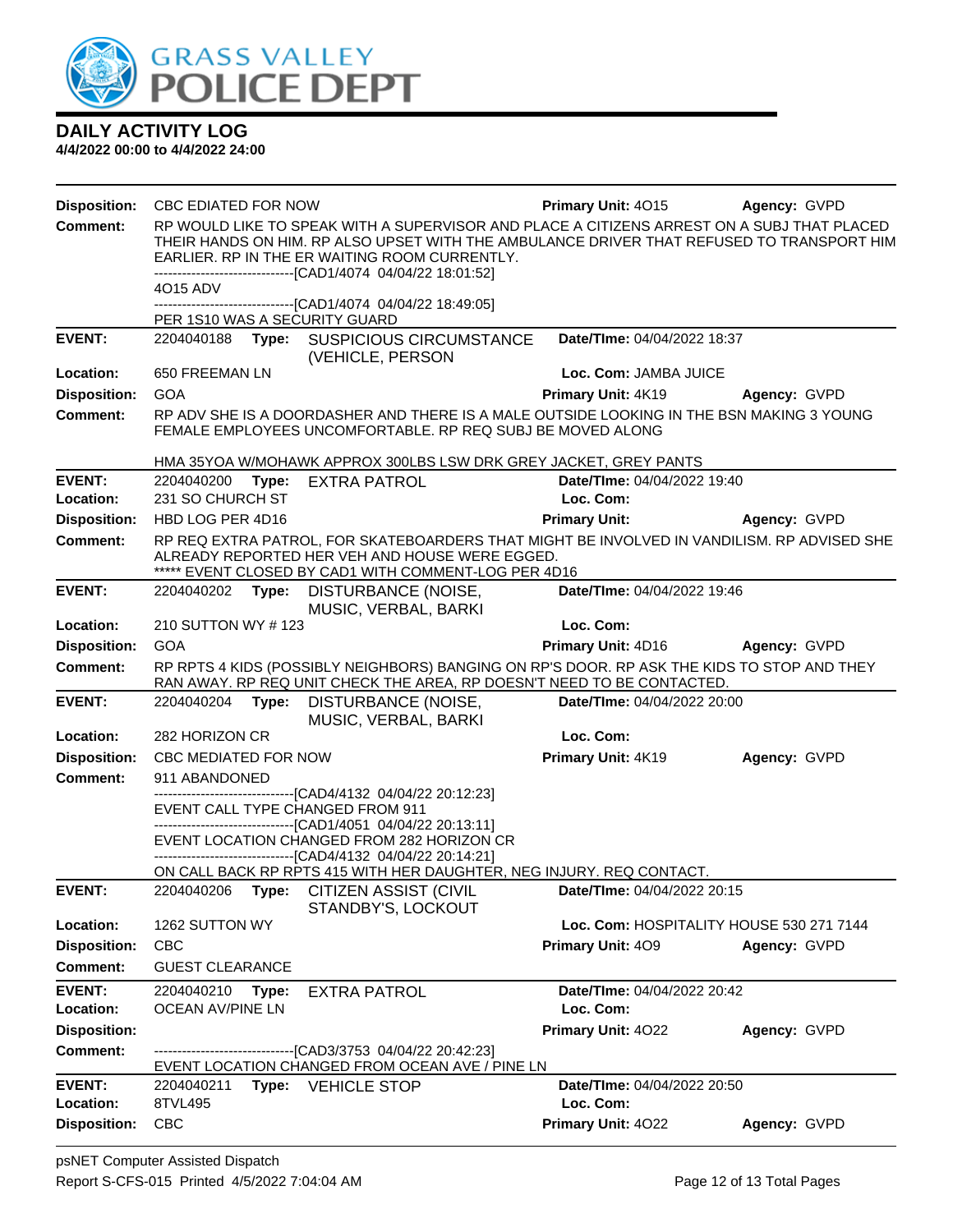

| <b>Disposition:</b> | <b>CBC EDIATED FOR NOW</b> |       |                                                                                                                                                                                                                                                                                                          |                          | <b>Primary Unit: 4015</b>   | Agency: GVPD                             |
|---------------------|----------------------------|-------|----------------------------------------------------------------------------------------------------------------------------------------------------------------------------------------------------------------------------------------------------------------------------------------------------------|--------------------------|-----------------------------|------------------------------------------|
| <b>Comment:</b>     |                            |       | RP WOULD LIKE TO SPEAK WITH A SUPERVISOR AND PLACE A CITIZENS ARREST ON A SUBJ THAT PLACED<br>THEIR HANDS ON HIM. RP ALSO UPSET WITH THE AMBULANCE DRIVER THAT REFUSED TO TRANSPORT HIM<br>EARLIER. RP IN THE ER WAITING ROOM CURRENTLY.<br>-------------------------------[CAD1/4074 04/04/22 18:01:52] |                          |                             |                                          |
|                     | 4015 ADV                   |       |                                                                                                                                                                                                                                                                                                          |                          |                             |                                          |
|                     |                            |       | -------------------------------[CAD1/4074 04/04/22 18:49:05]<br>PER 1S10 WAS A SECURITY GUARD                                                                                                                                                                                                            |                          |                             |                                          |
| <b>EVENT:</b>       |                            |       | 2204040188 Type: SUSPICIOUS CIRCUMSTANCE<br>(VEHICLE, PERSON                                                                                                                                                                                                                                             |                          | Date/TIme: 04/04/2022 18:37 |                                          |
| Location:           | 650 FREEMAN LN             |       |                                                                                                                                                                                                                                                                                                          |                          | Loc. Com: JAMBA JUICE       |                                          |
| <b>Disposition:</b> | <b>GOA</b>                 |       |                                                                                                                                                                                                                                                                                                          |                          | Primary Unit: 4K19          | Agency: GVPD                             |
| <b>Comment:</b>     |                            |       | RP ADV SHE IS A DOORDASHER AND THERE IS A MALE OUTSIDE LOOKING IN THE BSN MAKING 3 YOUNG<br>FEMALE EMPLOYEES UNCOMFORTABLE. RP REQ SUBJ BE MOVED ALONG                                                                                                                                                   |                          |                             |                                          |
|                     |                            |       | HMA 35YOA W/MOHAWK APPROX 300LBS LSW DRK GREY JACKET, GREY PANTS                                                                                                                                                                                                                                         |                          |                             |                                          |
| <b>EVENT:</b>       |                            |       | 2204040200 Type: EXTRA PATROL                                                                                                                                                                                                                                                                            |                          | Date/TIme: 04/04/2022 19:40 |                                          |
| Location:           | 231 SO CHURCH ST           |       |                                                                                                                                                                                                                                                                                                          | Loc. Com:                |                             |                                          |
| <b>Disposition:</b> | HBD LOG PER 4D16           |       |                                                                                                                                                                                                                                                                                                          | <b>Primary Unit:</b>     |                             | Agency: GVPD                             |
| <b>Comment:</b>     |                            |       | RP REQ EXTRA PATROL, FOR SKATEBOARDERS THAT MIGHT BE INVOLVED IN VANDILISM. RP ADVISED SHE<br>ALREADY REPORTED HER VEH AND HOUSE WERE EGGED.<br>***** EVENT CLOSED BY CAD1 WITH COMMENT-LOG PER 4D16                                                                                                     |                          |                             |                                          |
| <b>EVENT:</b>       |                            |       | 2204040202 Type: DISTURBANCE (NOISE,<br>MUSIC, VERBAL, BARKI                                                                                                                                                                                                                                             |                          | Date/TIme: 04/04/2022 19:46 |                                          |
| Location:           | 210 SUTTON WY # 123        |       |                                                                                                                                                                                                                                                                                                          | Loc. Com:                |                             |                                          |
| <b>Disposition:</b> | <b>GOA</b>                 |       |                                                                                                                                                                                                                                                                                                          |                          | <b>Primary Unit: 4D16</b>   | Agency: GVPD                             |
| <b>Comment:</b>     |                            |       | RP RPTS 4 KIDS (POSSIBLY NEIGHBORS) BANGING ON RP'S DOOR. RP ASK THE KIDS TO STOP AND THEY<br>RAN AWAY. RP REQ UNIT CHECK THE AREA, RP DOESN'T NEED TO BE CONTACTED.                                                                                                                                     |                          |                             |                                          |
| <b>EVENT:</b>       | 2204040204                 | Type: | DISTURBANCE (NOISE,<br>MUSIC, VERBAL, BARKI                                                                                                                                                                                                                                                              |                          | Date/TIme: 04/04/2022 20:00 |                                          |
| Location:           | 282 HORIZON CR             |       |                                                                                                                                                                                                                                                                                                          | Loc. Com:                |                             |                                          |
| <b>Disposition:</b> | CBC MEDIATED FOR NOW       |       |                                                                                                                                                                                                                                                                                                          |                          | Primary Unit: 4K19          | Agency: GVPD                             |
| <b>Comment:</b>     | 911 ABANDONED              |       |                                                                                                                                                                                                                                                                                                          |                          |                             |                                          |
|                     |                            |       | --------------------------[CAD4/4132_04/04/22_20:12:23]<br>EVENT CALL TYPE CHANGED FROM 911                                                                                                                                                                                                              |                          |                             |                                          |
|                     |                            |       | --------------------------------[CAD1/4051 04/04/22 20:13:11]                                                                                                                                                                                                                                            |                          |                             |                                          |
|                     |                            |       | EVENT LOCATION CHANGED FROM 282 HORIZON CR<br>-------------------------------[CAD4/4132 04/04/22 20:14:21]                                                                                                                                                                                               |                          |                             |                                          |
|                     |                            |       | ON CALL BACK RP RPTS 415 WITH HER DAUGHTER, NEG INJURY. REQ CONTACT.                                                                                                                                                                                                                                     |                          |                             |                                          |
| <b>EVENT:</b>       |                            |       | 2204040206 Type: CITIZEN ASSIST (CIVIL<br>STANDBY'S, LOCKOUT                                                                                                                                                                                                                                             |                          | Date/TIme: 04/04/2022 20:15 |                                          |
| Location:           | 1262 SUTTON WY             |       |                                                                                                                                                                                                                                                                                                          |                          |                             | Loc. Com: HOSPITALITY HOUSE 530 271 7144 |
| <b>Disposition:</b> | <b>CBC</b>                 |       |                                                                                                                                                                                                                                                                                                          | <b>Primary Unit: 409</b> |                             | Agency: GVPD                             |
| <b>Comment:</b>     | <b>GUEST CLEARANCE</b>     |       |                                                                                                                                                                                                                                                                                                          |                          |                             |                                          |
| <b>EVENT:</b>       | 2204040210                 | Type: | <b>EXTRA PATROL</b>                                                                                                                                                                                                                                                                                      |                          | Date/TIme: 04/04/2022 20:42 |                                          |
| Location:           | OCEAN AV/PINE LN           |       |                                                                                                                                                                                                                                                                                                          | Loc. Com:                |                             |                                          |
| <b>Disposition:</b> |                            |       |                                                                                                                                                                                                                                                                                                          |                          | Primary Unit: 4022          | Agency: GVPD                             |
| <b>Comment:</b>     |                            |       | --------------------------[CAD3/3753_04/04/22_20:42:23]<br>EVENT LOCATION CHANGED FROM OCEAN AVE / PINE LN                                                                                                                                                                                               |                          |                             |                                          |
| <b>EVENT:</b>       | 2204040211                 |       | Type: VEHICLE STOP                                                                                                                                                                                                                                                                                       |                          | Date/TIme: 04/04/2022 20:50 |                                          |
| Location:           | 8TVL495                    |       |                                                                                                                                                                                                                                                                                                          | Loc. Com:                |                             |                                          |
| <b>Disposition:</b> | <b>CBC</b>                 |       |                                                                                                                                                                                                                                                                                                          |                          | Primary Unit: 4022          | Agency: GVPD                             |